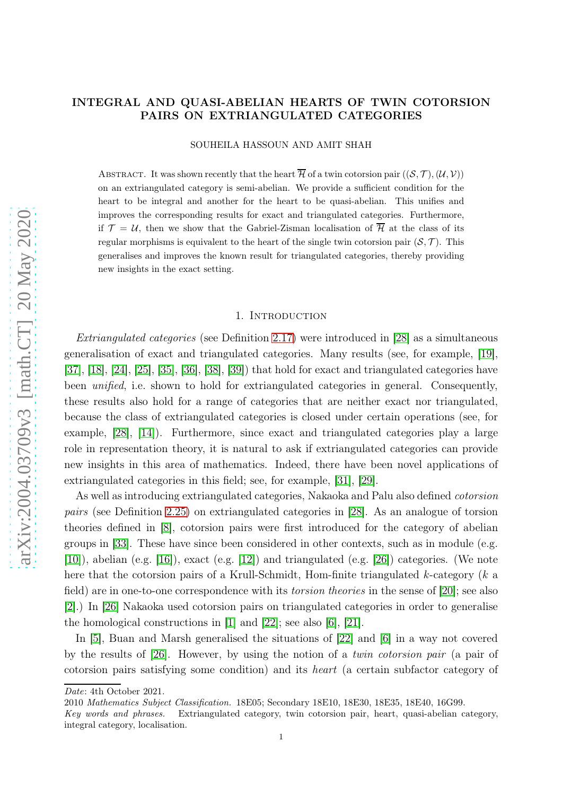## INTEGRAL AND QUASI-ABELIAN HEARTS OF TWIN COTORSION PAIRS ON EXTRIANGULATED CATEGORIES

SOUHEILA HASSOUN AND AMIT SHAH

ABSTRACT. It was shown recently that the heart  $\overline{\mathcal{H}}$  of a twin cotorsion pair  $((\mathcal{S}, \mathcal{T}),(\mathcal{U}, \mathcal{V}))$ on an extriangulated category is semi-abelian. We provide a sufficient condition for the heart to be integral and another for the heart to be quasi-abelian. This unifies and improves the corresponding results for exact and triangulated categories. Furthermore, if  $\mathcal{T} = \mathcal{U}$ , then we show that the Gabriel-Zisman localisation of  $\overline{\mathcal{H}}$  at the class of its regular morphisms is equivalent to the heart of the single twin cotorsion pair  $(S, \mathcal{T})$ . This generalises and improves the known result for triangulated categories, thereby providing new insights in the exact setting.

### 1. INTRODUCTION

Extriangulated categories (see Definition [2.17\)](#page-4-0) were introduced in [\[28\]](#page-20-0) as a simultaneous generalisation of exact and triangulated categories. Many results (see, for example, [\[19\]](#page-20-1), [\[37\]](#page-21-0), [\[18\]](#page-20-2), [\[24\]](#page-20-3), [\[25\]](#page-20-4), [\[35\]](#page-21-1), [\[36\]](#page-21-2), [\[38\]](#page-21-3), [\[39\]](#page-21-4)) that hold for exact and triangulated categories have been *unified*, i.e. shown to hold for extriangulated categories in general. Consequently, these results also hold for a range of categories that are neither exact nor triangulated, because the class of extriangulated categories is closed under certain operations (see, for example, [\[28\]](#page-20-0), [\[14\]](#page-20-5)). Furthermore, since exact and triangulated categories play a large role in representation theory, it is natural to ask if extriangulated categories can provide new insights in this area of mathematics. Indeed, there have been novel applications of extriangulated categories in this field; see, for example, [\[31\]](#page-20-6), [\[29\]](#page-20-7).

As well as introducing extriangulated categories, Nakaoka and Palu also defined cotorsion pairs (see Definition [2.25\)](#page-7-0) on extriangulated categories in [\[28\]](#page-20-0). As an analogue of torsion theories defined in [\[8\]](#page-19-0), cotorsion pairs were first introduced for the category of abelian groups in [\[33\]](#page-21-5). These have since been considered in other contexts, such as in module (e.g. [\[10\]](#page-20-8)), abelian (e.g. [\[16\]](#page-20-9)), exact (e.g. [\[12\]](#page-20-10)) and triangulated (e.g. [\[26\]](#page-20-11)) categories. (We note here that the cotorsion pairs of a Krull-Schmidt, Hom-finite triangulated k-category (k a field) are in one-to-one correspondence with its *torsion theories* in the sense of [\[20\]](#page-20-12); see also [\[2\]](#page-19-1).) In [\[26\]](#page-20-11) Nakaoka used cotorsion pairs on triangulated categories in order to generalise the homological constructions in [\[1\]](#page-19-2) and [\[22\]](#page-20-13); see also [\[6\]](#page-19-3), [\[21\]](#page-20-14).

In [\[5\]](#page-19-4), Buan and Marsh generalised the situations of [\[22\]](#page-20-13) and [\[6\]](#page-19-3) in a way not covered by the results of [\[26\]](#page-20-11). However, by using the notion of a twin cotorsion pair (a pair of cotorsion pairs satisfying some condition) and its heart (a certain subfactor category of

Date: 4th October 2021.

<sup>2010</sup> Mathematics Subject Classification. 18E05; Secondary 18E10, 18E30, 18E35, 18E40, 16G99.

Key words and phrases. Extriangulated category, twin cotorsion pair, heart, quasi-abelian category, integral category, localisation.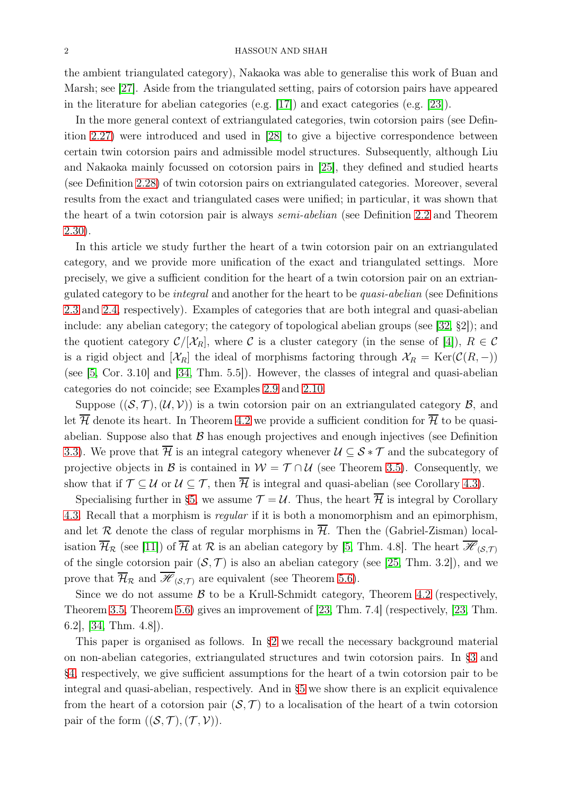the ambient triangulated category), Nakaoka was able to generalise this work of Buan and Marsh; see [\[27\]](#page-20-15). Aside from the triangulated setting, pairs of cotorsion pairs have appeared in the literature for abelian categories (e.g. [\[17\]](#page-20-16)) and exact categories (e.g. [\[23\]](#page-20-17)).

In the more general context of extriangulated categories, twin cotorsion pairs (see Definition [2.27\)](#page-7-1) were introduced and used in [\[28\]](#page-20-0) to give a bijective correspondence between certain twin cotorsion pairs and admissible model structures. Subsequently, although Liu and Nakaoka mainly focussed on cotorsion pairs in [\[25\]](#page-20-4), they defined and studied hearts (see Definition [2.28\)](#page-7-2) of twin cotorsion pairs on extriangulated categories. Moreover, several results from the exact and triangulated cases were unified; in particular, it was shown that the heart of a twin cotorsion pair is always semi-abelian (see Definition [2.2](#page-2-0) and Theorem [2.30\)](#page-8-0).

In this article we study further the heart of a twin cotorsion pair on an extriangulated category, and we provide more unification of the exact and triangulated settings. More precisely, we give a sufficient condition for the heart of a twin cotorsion pair on an extriangulated category to be integral and another for the heart to be quasi-abelian (see Definitions [2.3](#page-2-1) and [2.4,](#page-2-2) respectively). Examples of categories that are both integral and quasi-abelian include: any abelian category; the category of topological abelian groups (see [\[32,](#page-20-18) §2]); and the quotient category  $\mathcal{C}/[\mathcal{X}_R]$ , where C is a cluster category (in the sense of [\[4\]](#page-19-5)),  $R \in \mathcal{C}$ is a rigid object and  $[\mathcal{X}_R]$  the ideal of morphisms factoring through  $\mathcal{X}_R = \text{Ker}(\mathcal{C}(R, -))$ (see [\[5,](#page-19-4) Cor. 3.10] and [\[34,](#page-21-6) Thm. 5.5]). However, the classes of integral and quasi-abelian categories do not coincide; see Examples [2.9](#page-2-3) and [2.10.](#page-3-0)

Suppose  $((\mathcal{S}, \mathcal{T}),(\mathcal{U}, \mathcal{V}))$  is a twin cotorsion pair on an extriangulated category  $\mathcal{B}$ , and let  $\overline{\mathcal{H}}$  denote its heart. In Theorem [4.2](#page-13-0) we provide a sufficient condition for  $\overline{\mathcal{H}}$  to be quasiabelian. Suppose also that  $B$  has enough projectives and enough injectives (see Definition [3.3\)](#page-8-1). We prove that  $\overline{\mathcal{H}}$  is an integral category whenever  $\mathcal{U} \subseteq \mathcal{S} * \mathcal{T}$  and the subcategory of projective objects in B is contained in  $W = T \cap U$  (see Theorem [3.5\)](#page-9-0). Consequently, we show that if  $\mathcal{T} \subseteq \mathcal{U}$  or  $\mathcal{U} \subseteq \mathcal{T}$ , then  $\overline{\mathcal{H}}$  is integral and quasi-abelian (see Corollary [4.3\)](#page-15-0).

Specialising further in [§5,](#page-16-0) we assume  $\mathcal{T} = \mathcal{U}$ . Thus, the heart  $\overline{\mathcal{H}}$  is integral by Corollary [4.3.](#page-15-0) Recall that a morphism is regular if it is both a monomorphism and an epimorphism, and let R denote the class of regular morphisms in  $\overline{\mathcal{H}}$ . Then the (Gabriel-Zisman) localisation  $\overline{\mathcal{H}}_{\mathcal{R}}$  (see [\[11\]](#page-20-19)) of  $\overline{\mathcal{H}}$  at  $\mathcal{R}$  is an abelian category by [\[5,](#page-19-4) Thm. 4.8]. The heart  $\overline{\mathcal{H}}_{(\mathcal{S},\mathcal{T})}$ of the single cotorsion pair  $(S, \mathcal{T})$  is also an abelian category (see [\[25,](#page-20-4) Thm. 3.2]), and we prove that  $\overline{\mathcal{H}}_{\mathcal{R}}$  and  $\overline{\mathcal{H}}_{(\mathcal{S},\mathcal{T})}$  are equivalent (see Theorem [5.6\)](#page-19-6).

Since we do not assume  $\beta$  to be a Krull-Schmidt category, Theorem [4.2](#page-13-0) (respectively, Theorem [3.5,](#page-9-0) Theorem [5.6\)](#page-19-6) gives an improvement of [\[23,](#page-20-17) Thm. 7.4] (respectively, [\[23,](#page-20-17) Thm. 6.2], [\[34,](#page-21-6) Thm. 4.8]).

This paper is organised as follows. In [§2](#page-2-4) we recall the necessary background material on non-abelian categories, extriangulated structures and twin cotorsion pairs. In [§3](#page-8-2) and [§4,](#page-13-1) respectively, we give sufficient assumptions for the heart of a twin cotorsion pair to be integral and quasi-abelian, respectively. And in [§5](#page-16-0) we show there is an explicit equivalence from the heart of a cotorsion pair  $(S, \mathcal{T})$  to a localisation of the heart of a twin cotorsion pair of the form  $((\mathcal{S}, \mathcal{T}),(\mathcal{T}, \mathcal{V})).$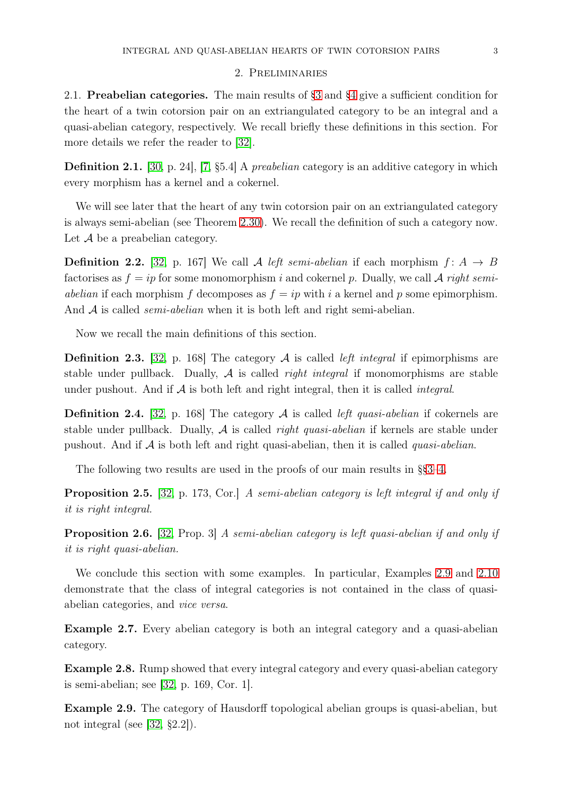### 2. Preliminaries

<span id="page-2-4"></span>2.1. Preabelian categories. The main results of [§3](#page-8-2) and [§4](#page-13-1) give a sufficient condition for the heart of a twin cotorsion pair on an extriangulated category to be an integral and a quasi-abelian category, respectively. We recall briefly these definitions in this section. For more details we refer the reader to [\[32\]](#page-20-18).

**Definition 2.1.** [\[30,](#page-20-20) p. 24], [\[7,](#page-19-7) §5.4] A *preabelian* category is an additive category in which every morphism has a kernel and a cokernel.

We will see later that the heart of any twin cotorsion pair on an extriangulated category is always semi-abelian (see Theorem [2.30\)](#page-8-0). We recall the definition of such a category now. Let  $\mathcal A$  be a preabelian category.

<span id="page-2-0"></span>**Definition 2.2.** [\[32,](#page-20-18) p. 167] We call A left semi-abelian if each morphism  $f: A \rightarrow B$ factorises as  $f = ip$  for some monomorphism i and cokernel p. Dually, we call A right semiabelian if each morphism f decomposes as  $f = ip$  with i a kernel and p some epimorphism. And  $A$  is called *semi-abelian* when it is both left and right semi-abelian.

Now we recall the main definitions of this section.

<span id="page-2-1"></span>**Definition 2.3.** [\[32,](#page-20-18) p. 168] The category  $A$  is called *left integral* if epimorphisms are stable under pullback. Dually,  $\mathcal A$  is called *right integral* if monomorphisms are stable under pushout. And if  $A$  is both left and right integral, then it is called *integral*.

<span id="page-2-2"></span>**Definition 2.4.** [\[32,](#page-20-18) p. 168] The category A is called *left quasi-abelian* if cokernels are stable under pullback. Dually,  $A$  is called *right quasi-abelian* if kernels are stable under pushout. And if  $A$  is both left and right quasi-abelian, then it is called *quasi-abelian*.

The following two results are used in the proofs of our main results in §[§3](#page-8-2)[–4.](#page-13-1)

<span id="page-2-5"></span>Proposition 2.5. [\[32,](#page-20-18) p. 173, Cor.] A semi-abelian category is left integral if and only if it is right integral.

<span id="page-2-6"></span>Proposition 2.6. [\[32,](#page-20-18) Prop. 3] A semi-abelian category is left quasi-abelian if and only if it is right quasi-abelian.

We conclude this section with some examples. In particular, Examples [2.9](#page-2-3) and [2.10](#page-3-0) demonstrate that the class of integral categories is not contained in the class of quasiabelian categories, and vice versa.

Example 2.7. Every abelian category is both an integral category and a quasi-abelian category.

Example 2.8. Rump showed that every integral category and every quasi-abelian category is semi-abelian; see [\[32,](#page-20-18) p. 169, Cor. 1].

<span id="page-2-3"></span>Example 2.9. The category of Hausdorff topological abelian groups is quasi-abelian, but not integral (see [\[32,](#page-20-18) §2.2]).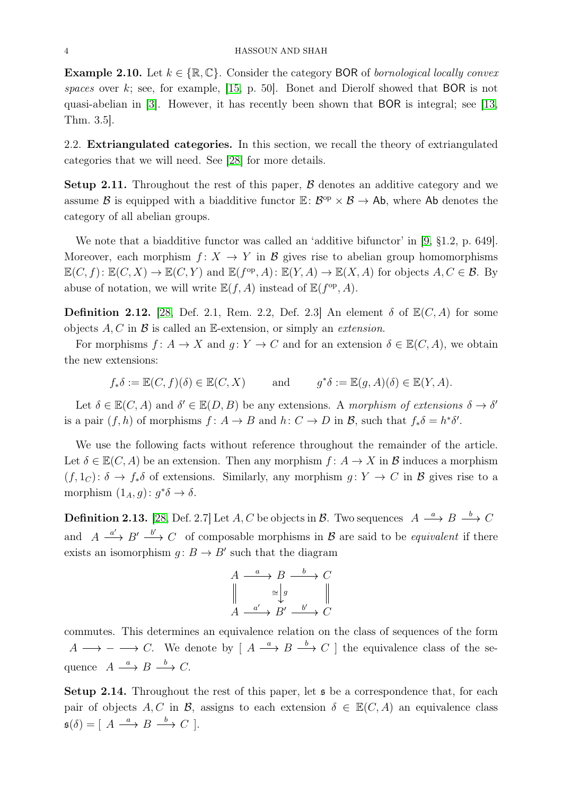<span id="page-3-0"></span>**Example 2.10.** Let  $k \in \{\mathbb{R}, \mathbb{C}\}$ . Consider the category BOR of *bornological locally convex* spaces over  $k$ ; see, for example, [\[15,](#page-20-21) p. 50]. Bonet and Dierolf showed that BOR is not quasi-abelian in [\[3\]](#page-19-8). However, it has recently been shown that BOR is integral; see [\[13,](#page-20-22) Thm. 3.5].

2.2. Extriangulated categories. In this section, we recall the theory of extriangulated categories that we will need. See [\[28\]](#page-20-0) for more details.

**Setup 2.11.** Throughout the rest of this paper,  $\beta$  denotes an additive category and we assume B is equipped with a biadditive functor  $\mathbb{E}: \mathcal{B}^{\mathrm{op}} \times \mathcal{B} \to {\sf Ab}$ , where Ab denotes the category of all abelian groups.

We note that a biadditive functor was called an 'additive bifunctor' in [\[9,](#page-20-23) §1.2, p. 649]. Moreover, each morphism  $f: X \to Y$  in B gives rise to abelian group homomorphisms  $\mathbb{E}(C, f): \mathbb{E}(C, X) \to \mathbb{E}(C, Y)$  and  $\mathbb{E}(f^{\text{op}}, A): \mathbb{E}(Y, A) \to \mathbb{E}(X, A)$  for objects  $A, C \in \mathcal{B}$ . By abuse of notation, we will write  $\mathbb{E}(f, A)$  instead of  $\mathbb{E}(f^{\text{op}}, A)$ .

**Definition 2.12.** [\[28,](#page-20-0) Def. 2.1, Rem. 2.2, Def. 2.3] An element  $\delta$  of  $\mathbb{E}(C, A)$  for some objects  $A, C$  in  $\mathcal B$  is called an E-extension, or simply an *extension*.

For morphisms  $f: A \to X$  and  $g: Y \to C$  and for an extension  $\delta \in \mathbb{E}(C, A)$ , we obtain the new extensions:

$$
f_*\delta := \mathbb{E}(C, f)(\delta) \in \mathbb{E}(C, X)
$$
 and  $g^*\delta := \mathbb{E}(g, A)(\delta) \in \mathbb{E}(Y, A)$ .

Let  $\delta \in \mathbb{E}(C, A)$  and  $\delta' \in \mathbb{E}(D, B)$  be any extensions. A morphism of extensions  $\delta \to \delta'$ is a pair  $(f, h)$  of morphisms  $f: A \to B$  and  $h: C \to D$  in  $\mathcal{B}$ , such that  $f_*\delta = h^*\delta'.$ 

We use the following facts without reference throughout the remainder of the article. Let  $\delta \in \mathbb{E}(C, A)$  be an extension. Then any morphism  $f: A \to X$  in B induces a morphism  $(f, 1_C): \delta \to f_*\delta$  of extensions. Similarly, any morphism  $g: Y \to C$  in B gives rise to a morphism  $(1_A, g) : g^* \delta \to \delta$ .

**Definition 2.13.** [\[28,](#page-20-0) Def. 2.7] Let A, C be objects in B. Two sequences  $A \xrightarrow{a} B \xrightarrow{b} C$ and  $A \xrightarrow{a'} B' \xrightarrow{b'} C$  of composable morphisms in B are said to be *equivalent* if there exists an isomorphism  $g: B \to B'$  such that the diagram

$$
A \xrightarrow{a} B \xrightarrow{b} C
$$
  

$$
\parallel \xrightarrow{a'} \text{g} \parallel
$$
  

$$
A \xrightarrow{a'} B' \xrightarrow{b'} C
$$

commutes. This determines an equivalence relation on the class of sequences of the form  $A \longrightarrow - \longrightarrow C$ . We denote by  $[A \stackrel{a}{\longrightarrow} B \stackrel{b}{\longrightarrow} C]$  the equivalence class of the sequence  $A \stackrel{a}{\longrightarrow} B \stackrel{b}{\longrightarrow} C$ .

**Setup 2.14.** Throughout the rest of this paper, let  $\mathfrak{s}$  be a correspondence that, for each pair of objects A, C in B, assigns to each extension  $\delta \in \mathbb{E}(C, A)$  an equivalence class  $\mathfrak{s}(\delta) = [\begin{array}{ccc} A & \stackrel{a}{\longrightarrow} B & \stackrel{b}{\longrightarrow} C \end{array}].$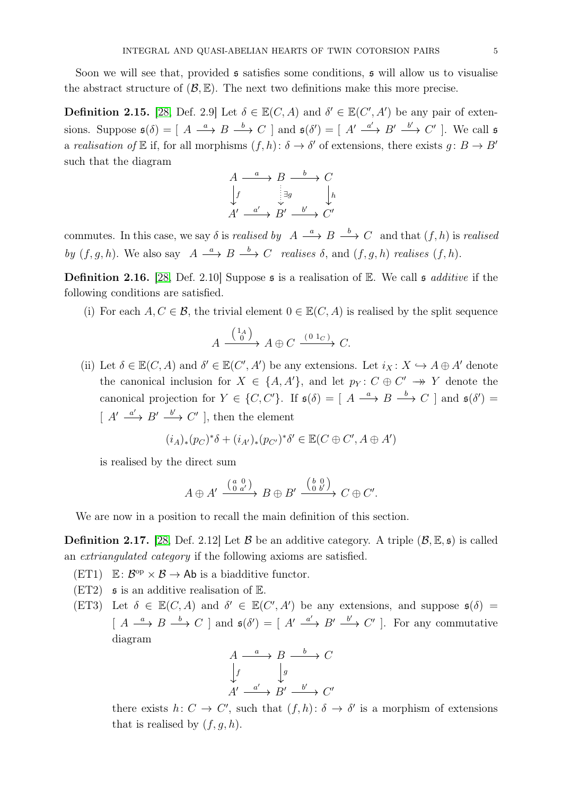Soon we will see that, provided  $\boldsymbol{\mathfrak{s}}$  satisfies some conditions,  $\boldsymbol{\mathfrak{s}}$  will allow us to visualise the abstract structure of  $(\mathcal{B}, \mathbb{E})$ . The next two definitions make this more precise.

**Definition 2.15.** [\[28,](#page-20-0) Def. 2.9] Let  $\delta \in \mathbb{E}(C, A)$  and  $\delta' \in \mathbb{E}(C', A')$  be any pair of extensions. Suppose  $\mathfrak{s}(\delta) = [A \xrightarrow{a} B \xrightarrow{b} C]$  and  $\mathfrak{s}(\delta') = [A' \xrightarrow{a'} B' \xrightarrow{b'} C']$ . We call  $\mathfrak{s}$ a realisation of  $\mathbb E$  if, for all morphisms  $(f,h): \delta \to \delta'$  of extensions, there exists  $g: B \to B'$ such that the diagram

$$
A \xrightarrow{a} B \xrightarrow{b} C
$$
  
\n
$$
\downarrow f \qquad \qquad \downarrow g
$$
  
\n
$$
A' \xrightarrow{a'} B' \xrightarrow{b'} C'
$$

commutes. In this case, we say  $\delta$  is *realised by*  $A \stackrel{a}{\longrightarrow} B \stackrel{b}{\longrightarrow} C$  and that  $(f, h)$  is *realised* by  $(f, g, h)$ . We also say  $A \stackrel{a}{\longrightarrow} B \stackrel{b}{\longrightarrow} C$  realises  $\delta$ , and  $(f, g, h)$  realises  $(f, h)$ .

**Definition 2.16.** [\[28,](#page-20-0) Def. 2.10] Suppose  $\boldsymbol{\mathfrak{s}}$  is a realisation of  $\mathbb{E}$ . We call  $\boldsymbol{\mathfrak{s}}$  additive if the following conditions are satisfied.

(i) For each  $A, C \in \mathcal{B}$ , the trivial element  $0 \in \mathbb{E}(C, A)$  is realised by the split sequence

$$
A \xrightarrow{\begin{pmatrix} 1_A \\ 0 \end{pmatrix}} A \oplus C \xrightarrow{\begin{pmatrix} 0 & 1_C \end{pmatrix}} C.
$$

(ii) Let  $\delta \in \mathbb{E}(C, A)$  and  $\delta' \in \mathbb{E}(C', A')$  be any extensions. Let  $i_X \colon X \hookrightarrow A \oplus A'$  denote the canonical inclusion for  $X \in \{A, A'\}$ , and let  $p_Y : C \oplus C' \rightarrow Y$  denote the canonical projection for  $Y \in \{C, C'\}$ . If  $\mathfrak{s}(\delta) = \left[ A \stackrel{a}{\longrightarrow} B \stackrel{b}{\longrightarrow} C \right]$  and  $\mathfrak{s}(\delta') =$  $[A' \xrightarrow{a'} B' \xrightarrow{b'} C']$ , then the element

$$
(i_A)_*(p_C)^*\delta + (i_{A'})_*(p_{C'})^*\delta' \in \mathbb{E}(C \oplus C', A \oplus A')
$$

is realised by the direct sum

$$
A \oplus A' \xrightarrow{\left(\begin{smallmatrix} a & 0 \\ 0 & a' \end{smallmatrix}\right)} B \oplus B' \xrightarrow{\left(\begin{smallmatrix} b & 0 \\ 0 & b' \end{smallmatrix}\right)} C \oplus C'.
$$

We are now in a position to recall the main definition of this section.

<span id="page-4-0"></span>**Definition 2.17.** [\[28,](#page-20-0) Def. 2.12] Let  $\beta$  be an additive category. A triple  $(\beta, \mathbb{E}, \mathfrak{s})$  is called an extriangulated category if the following axioms are satisfied.

- <span id="page-4-2"></span>(ET1)  $\mathbb{E}: \mathcal{B}^{\mathrm{op}} \times \mathcal{B} \to \mathsf{Ab}$  is a biadditive functor.
- <span id="page-4-1"></span> $(ET2)$  **s** is an additive realisation of E.
- (ET3) Let  $\delta \in \mathbb{E}(C, A)$  and  $\delta' \in \mathbb{E}(C', A')$  be any extensions, and suppose  $\mathfrak{s}(\delta)$  =  $[A \stackrel{a}{\longrightarrow} B \stackrel{b}{\longrightarrow} C]$  and  $\mathfrak{s}(\delta') = [A' \stackrel{a'}{\longrightarrow} B' \stackrel{b'}{\longrightarrow} C']$ . For any commutative diagram

$$
A \xrightarrow{a} B \xrightarrow{b} C
$$
  
\n
$$
\downarrow f \qquad \qquad \downarrow g
$$
  
\n
$$
A' \xrightarrow{a'} B' \xrightarrow{b'} C'
$$

there exists  $h: C \to C'$ , such that  $(f,h): \delta \to \delta'$  is a morphism of extensions that is realised by  $(f, g, h)$ .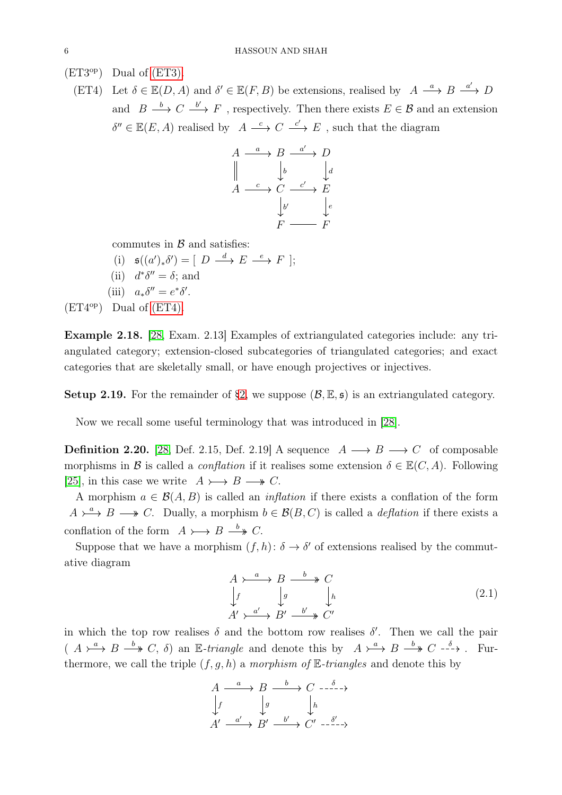<span id="page-5-0"></span> $(ET3<sup>op</sup>)$  Dual of  $(ET3)$ .

(ET4) Let  $\delta \in \mathbb{E}(D, A)$  and  $\delta' \in \mathbb{E}(F, B)$  be extensions, realised by  $A \xrightarrow{a} B \xrightarrow{a'} D$ and  $B \stackrel{b}{\longrightarrow} C \stackrel{b'}{\longrightarrow} F$ , respectively. Then there exists  $E \in \mathcal{B}$  and an extension  $\delta'' \in \mathbb{E}(E, A)$  realised by  $A \stackrel{c}{\longrightarrow} C \stackrel{c'}{\longrightarrow} E$ , such that the diagram

$$
A \xrightarrow{a} B \xrightarrow{a'} D
$$
  
\n
$$
\parallel \qquad \downarrow_b \qquad \downarrow_d
$$
  
\n
$$
A \xrightarrow{c} C \xrightarrow{c'} E
$$
  
\n
$$
\downarrow b' \qquad \downarrow e
$$
  
\n
$$
F \xrightarrow{F} F
$$

commutes in  $\beta$  and satisfies:

- (i)  $\mathfrak{s}((a')_*\delta') = [D \stackrel{d}{\longrightarrow} E \stackrel{e}{\longrightarrow} F];$
- (ii)  $d^*\delta'' = \delta$ ; and
- (iii)  $a_*\delta'' = e^*\delta'.$

 $(ET4<sup>op</sup>)$  Dual of  $(ET4)$ .

Example 2.18. [\[28,](#page-20-0) Exam. 2.13] Examples of extriangulated categories include: any triangulated category; extension-closed subcategories of triangulated categories; and exact categories that are skeletally small, or have enough projectives or injectives.

<span id="page-5-1"></span>Setup 2.19. For the remainder of  $\S2$ , we suppose  $(\mathcal{B}, \mathbb{E}, \mathfrak{s})$  is an extriangulated category.

Now we recall some useful terminology that was introduced in [\[28\]](#page-20-0).

**Definition 2.20.** [\[28,](#page-20-0) Def. 2.15, Def. 2.19] A sequence  $A \rightarrow B \rightarrow C$  of composable morphisms in B is called a *conflation* if it realises some extension  $\delta \in \mathbb{E}(C, A)$ . Following [\[25\]](#page-20-4), in this case we write  $A \rightarrow B \rightarrow C$ .

A morphism  $a \in \mathcal{B}(A, B)$  is called an *inflation* if there exists a conflation of the form  $A \rightarrow a \rightarrow B \rightarrow C$ . Dually, a morphism  $b \in \mathcal{B}(B, C)$  is called a *deflation* if there exists a conflation of the form  $A \rightarrow B \stackrel{b}{\longrightarrow} C$ .

Suppose that we have a morphism  $(f, h)$ :  $\delta \to \delta'$  of extensions realised by the commutative diagram

$$
A \rightarrow \rightarrow B \rightarrow C
$$
  
\n
$$
\downarrow f \qquad \downarrow g \qquad \downarrow h
$$
  
\n
$$
A' \rightarrow \rightarrow B' \rightarrow C'
$$
  
\n
$$
(2.1)
$$

in which the top row realises  $\delta$  and the bottom row realises  $\delta'$ . Then we call the pair  $(A \rightarrow A \rightarrow B \stackrel{b}{\longrightarrow} C, \delta)$  an E-triangle and denote this by  $A \rightarrow A \rightarrow B \stackrel{b}{\longrightarrow} C \stackrel{\delta}{\longrightarrow}$ . Furthermore, we call the triple  $(f, q, h)$  a morphism of E-triangles and denote this by

$$
A \xrightarrow{a} B \xrightarrow{b} C \xrightarrow{-\delta} \rightarrow
$$
  
\n
$$
\downarrow f \qquad \downarrow g \qquad \downarrow h
$$
  
\n
$$
A' \xrightarrow{a'} B' \xrightarrow{b'} C' \xrightarrow{\delta'} \rightarrow
$$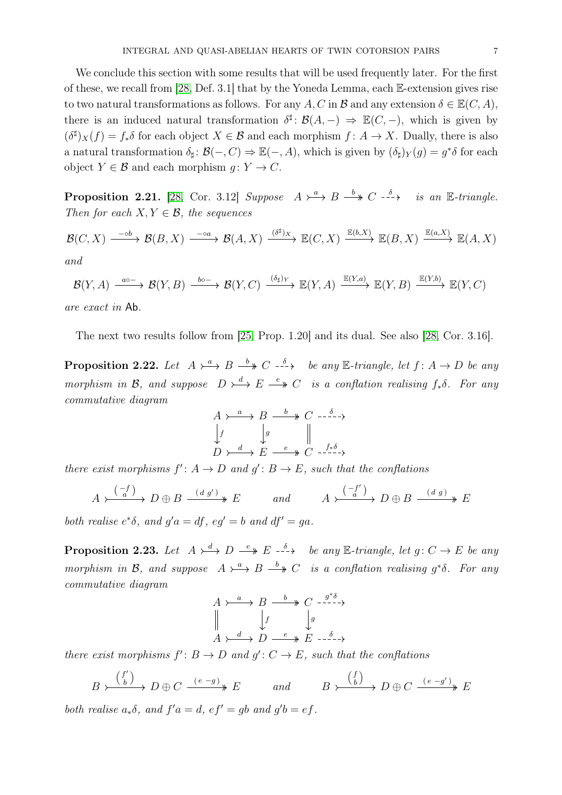We conclude this section with some results that will be used frequently later. For the first of these, we recall from [\[28,](#page-20-0) Def. 3.1] that by the Yoneda Lemma, each E-extension gives rise to two natural transformations as follows. For any A, C in B and any extension  $\delta \in \mathbb{E}(C, A)$ , there is an induced natural transformation  $\delta^{\sharp}$ :  $\mathcal{B}(A, -) \Rightarrow \mathbb{E}(C, -)$ , which is given by  $(\delta^{\sharp})_X(f) = f_*\delta$  for each object  $X \in \mathcal{B}$  and each morphism  $f: A \to X$ . Dually, there is also a natural transformation  $\delta_{\sharp} : \mathcal{B}(-, C) \to \mathbb{E}(-, A)$ , which is given by  $(\delta_{\sharp})_Y(g) = g^* \delta$  for each object  $Y \in \mathcal{B}$  and each morphism  $g: Y \to C$ .

<span id="page-6-0"></span>**Proposition 2.21.** [\[28,](#page-20-0) Cor. 3.12] Suppose  $A \rightarrow a \rightarrow B \rightarrow C \rightarrow b \rightarrow c$  is an E-triangle. Then for each  $X, Y \in \mathcal{B}$ , the sequences

$$
\mathcal{B}(C, X) \xrightarrow{\phantom{p} \text{odd}} \mathcal{B}(B, X) \xrightarrow{\phantom{p} \text{odd}} \mathcal{B}(A, X) \xrightarrow{\phantom{p} (\delta^{\sharp})_X} \mathbb{E}(C, X) \xrightarrow{\mathbb{E}(b, X)} \mathbb{E}(B, X) \xrightarrow{\mathbb{E}(a, X)} \mathbb{E}(A, X)
$$

$$
\mathcal{B}(Y,A) \xrightarrow{a\circ -} \mathcal{B}(Y,B) \xrightarrow{b\circ -} \mathcal{B}(Y,C) \xrightarrow{(\delta_{\sharp})_Y} \mathbb{E}(Y,A) \xrightarrow{\mathbb{E}(Y,a)} \mathbb{E}(Y,B) \xrightarrow{\mathbb{E}(Y,b)} \mathbb{E}(Y,C)
$$

are exact in Ab.

The next two results follow from [\[25,](#page-20-4) Prop. 1.20] and its dual. See also [\[28,](#page-20-0) Cor. 3.16].

<span id="page-6-1"></span>**Proposition 2.22.** Let  $A \rightarrow A$  by  $B \rightarrow C$   $\rightarrow \rightarrow C$  be any E-triangle, let  $f: A \rightarrow D$  be any morphism in B, and suppose  $D \rightarrow A \rightarrow E \rightarrow C$  is a conflation realising  $f_*\delta$ . For any commutative diagram

$$
A \rightarrow a \rightarrow B \xrightarrow{b} C \xrightarrow{-\delta} \rightarrow
$$
  

$$
\downarrow f \qquad \downarrow g \qquad \parallel
$$
  

$$
D \rightarrow d \rightarrow E \xrightarrow{e} C \xrightarrow{f * \delta}
$$

there exist morphisms  $f' : A \to D$  and  $g' : B \to E$ , such that the conflations

$$
A \xrightarrow{\binom{-f}{a}} D \oplus B \xrightarrow{\phantom{aa}(d g')} E \qquad \text{and} \qquad A \xrightarrow{\binom{-f'}{a}} D \oplus B \xrightarrow{\phantom{aa}(d g)} E
$$

both realise  $e^*\delta$ , and  $g'a = df$ ,  $eg' = b$  and  $df' = ga$ .

<span id="page-6-2"></span>**Proposition 2.23.** Let  $A \rightarrow^d D \stackrel{e}{\longrightarrow} E \stackrel{\delta}{\longrightarrow} be any E-triangle, let  $g: C \rightarrow E$  be any$ morphism in B, and suppose  $A \rightarrow A$ <sup>a</sup>  $B \rightarrow B$  *is a conflation realising g*<sup>\*</sup> $\delta$ . For any commutative diagram

$$
A \rightarrow \begin{array}{c} a \rightarrow B \rightarrow C \rightarrow \begin{array}{c} \rightarrow \\ \rightarrow \end{array} \\ A \rightarrow \begin{array}{c} d \rightarrow D \rightarrow \begin{array}{c} \rightarrow \\ \rightarrow \end{array} \\ B \rightarrow E \rightarrow \begin{array}{c} \rightarrow \\ \rightarrow \end{array} \\ B \rightarrow E \rightarrow \begin{array}{c} \rightarrow \\ \rightarrow \end{array} \end{array}
$$

there exist morphisms  $f' : B \to D$  and  $g' : C \to E$ , such that the conflations

$$
B \xrightarrow{\binom{f'}{b}} D \oplus C \xrightarrow{(e-g)} E \qquad \text{and} \qquad B \xrightarrow{\binom{f}{b}} D \oplus C \xrightarrow{(e-g')} E
$$

both realise  $a_*\delta$ , and  $f'a = d$ ,  $ef' = gb$  and  $g'b = ef$ .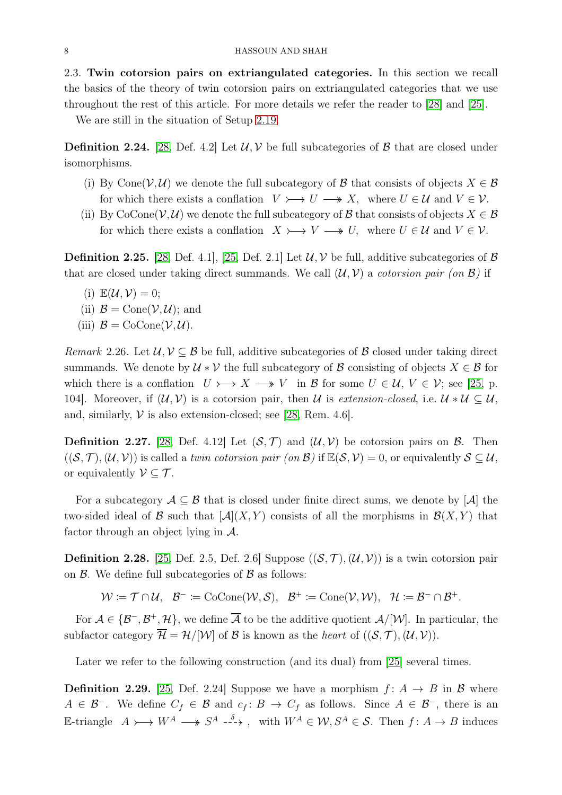2.3. Twin cotorsion pairs on extriangulated categories. In this section we recall the basics of the theory of twin cotorsion pairs on extriangulated categories that we use throughout the rest of this article. For more details we refer the reader to [\[28\]](#page-20-0) and [\[25\]](#page-20-4).

We are still in the situation of Setup [2.19.](#page-5-1)

**Definition 2.24.** [\[28,](#page-20-0) Def. 4.2] Let  $\mathcal{U}, \mathcal{V}$  be full subcategories of  $\mathcal{B}$  that are closed under isomorphisms.

- (i) By Cone( $V, U$ ) we denote the full subcategory of B that consists of objects  $X \in \mathcal{B}$ for which there exists a conflation  $V \rightarrowtail U \longrightarrow X$ , where  $U \in \mathcal{U}$  and  $V \in \mathcal{V}$ .
- (ii) By CoCone( $V, U$ ) we denote the full subcategory of  $\mathcal B$  that consists of objects  $X \in \mathcal B$ for which there exists a conflation  $X \rightarrow V \rightarrow V$ , where  $U \in \mathcal{U}$  and  $V \in \mathcal{V}$ .

<span id="page-7-0"></span>**Definition 2.25.** [\[28,](#page-20-0) Def. 4.1], [\[25,](#page-20-4) Def. 2.1] Let  $\mathcal{U}, \mathcal{V}$  be full, additive subcategories of  $\mathcal{B}$ that are closed under taking direct summands. We call  $(\mathcal{U}, \mathcal{V})$  a *cotorsion pair* (on  $\mathcal{B}$ ) if

- (i)  $\mathbb{E}(\mathcal{U}, \mathcal{V}) = 0;$
- (ii)  $\mathcal{B} = \text{Cone}(\mathcal{V}, \mathcal{U})$ ; and
- (iii)  $\mathcal{B} = \text{CoCone}(\mathcal{V}, \mathcal{U}).$

<span id="page-7-4"></span>Remark 2.26. Let  $\mathcal{U}, \mathcal{V} \subseteq \mathcal{B}$  be full, additive subcategories of  $\mathcal{B}$  closed under taking direct summands. We denote by  $\mathcal{U} * \mathcal{V}$  the full subcategory of  $\mathcal{B}$  consisting of objects  $X \in \mathcal{B}$  for which there is a conflation  $U \rightarrow X \rightarrow V$  in B for some  $U \in \mathcal{U}, V \in \mathcal{V}$ ; see [\[25,](#page-20-4) p. 104]. Moreover, if  $(\mathcal{U}, \mathcal{V})$  is a cotorsion pair, then U is extension-closed, i.e.  $\mathcal{U} * \mathcal{U} \subset \mathcal{U}$ , and, similarly,  $V$  is also extension-closed; see [\[28,](#page-20-0) Rem. 4.6].

<span id="page-7-1"></span>**Definition 2.27.** [\[28,](#page-20-0) Def. 4.12] Let  $(S, \mathcal{T})$  and  $(\mathcal{U}, \mathcal{V})$  be cotorsion pairs on  $\mathcal{B}$ . Then  $((\mathcal{S},\mathcal{T}),(\mathcal{U},\mathcal{V}))$  is called a twin cotorsion pair (on  $\mathcal{B})$  if  $\mathbb{E}(\mathcal{S},\mathcal{V})=0$ , or equivalently  $\mathcal{S}\subseteq\mathcal{U}$ , or equivalently  $\mathcal{V} \subset \mathcal{T}$ .

For a subcategory  $\mathcal{A} \subseteq \mathcal{B}$  that is closed under finite direct sums, we denote by  $[\mathcal{A}]$  the two-sided ideal of B such that  $[\mathcal{A}](X, Y)$  consists of all the morphisms in  $\mathcal{B}(X, Y)$  that factor through an object lying in A.

<span id="page-7-2"></span>**Definition 2.28.** [\[25,](#page-20-4) Def. 2.5, Def. 2.6] Suppose  $((\mathcal{S}, \mathcal{T}), (\mathcal{U}, \mathcal{V}))$  is a twin cotorsion pair on  $\beta$ . We define full subcategories of  $\beta$  as follows:

 $W := \mathcal{T} \cap \mathcal{U}, \quad \mathcal{B}^- := \text{CoCone}(\mathcal{W}, \mathcal{S}), \quad \mathcal{B}^+ := \text{Cone}(\mathcal{V}, \mathcal{W}), \quad \mathcal{H} := \mathcal{B}^- \cap \mathcal{B}^+.$ 

For  $A \in {\{\mathcal{B}^-, \mathcal{B}^+, \mathcal{H}\}}$ , we define  $\overline{A}$  to be the additive quotient  $A/[\mathcal{W}]$ . In particular, the subfactor category  $\overline{\mathcal{H}} = \mathcal{H}/[\mathcal{W}]$  of  $\mathcal{B}$  is known as the *heart* of  $((\mathcal{S}, \mathcal{T}),(\mathcal{U}, \mathcal{V})).$ 

Later we refer to the following construction (and its dual) from [\[25\]](#page-20-4) several times.

<span id="page-7-3"></span>**Definition 2.29.** [\[25,](#page-20-4) Def. 2.24] Suppose we have a morphism  $f: A \rightarrow B$  in B where  $A \in \mathcal{B}^-$ . We define  $C_f \in \mathcal{B}$  and  $c_f : B \to C_f$  as follows. Since  $A \in \mathcal{B}^-$ , there is an E-triangle  $A \rightarrow W^A \longrightarrow S^A \stackrel{\delta}{\longrightarrow}$ , with  $W^A \in \mathcal{W}, S^A \in \mathcal{S}$ . Then  $f: A \rightarrow B$  induces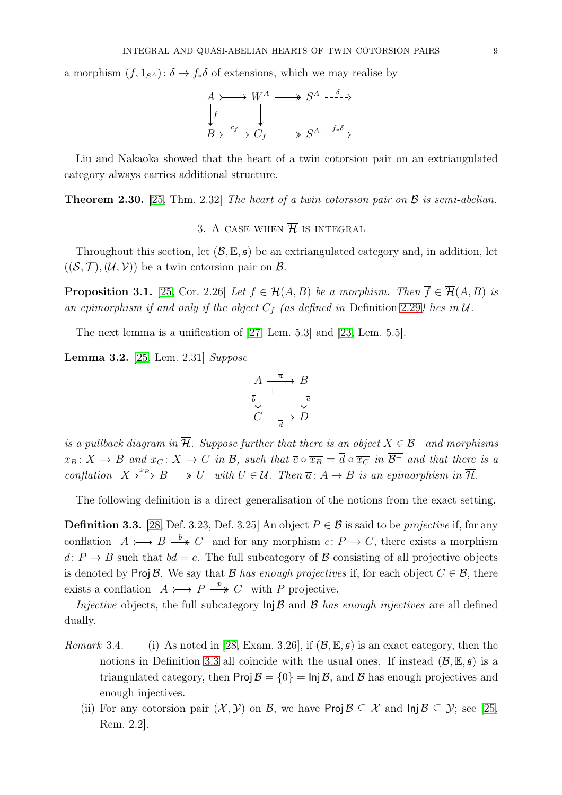a morphism  $(f, 1_{S^A})$ :  $\delta \rightarrow f_*\delta$  of extensions, which we may realise by

$$
A \rightarrowtail W^A \longrightarrow S^A \longrightarrow
$$
  
\n
$$
\downarrow f \qquad \qquad \downarrow \qquad \qquad \parallel
$$
  
\n
$$
B \rightarrow \xrightarrow{c_f} C_f \longrightarrow S^A \xrightarrow{f_* \delta}
$$

Liu and Nakaoka showed that the heart of a twin cotorsion pair on an extriangulated category always carries additional structure.

<span id="page-8-2"></span><span id="page-8-0"></span>**Theorem 2.30.** [\[25,](#page-20-4) Thm. 2.32] The heart of a twin cotorsion pair on  $\beta$  is semi-abelian.

3. A CASE WHEN  $\overline{\mathcal{H}}$  is integral

Throughout this section, let  $(\mathcal{B}, \mathbb{E}, \mathfrak{s})$  be an extriangulated category and, in addition, let  $((\mathcal{S},\mathcal{T}),(\mathcal{U},\mathcal{V}))$  be a twin cotorsion pair on  $\mathcal{B}$ .

<span id="page-8-3"></span>**Proposition 3.1.** [\[25,](#page-20-4) Cor. 2.26] Let  $f \in \mathcal{H}(A, B)$  be a morphism. Then  $\overline{f} \in \overline{\mathcal{H}}(A, B)$  is an epimorphism if and only if the object  $C_f$  (as defined in Definition [2.29](#page-7-3)) lies in  $\mathcal U$ .

The next lemma is a unification of [\[27,](#page-20-15) Lem. 5.3] and [\[23,](#page-20-17) Lem. 5.5].

<span id="page-8-4"></span>Lemma 3.2. [\[25,](#page-20-4) Lem. 2.31] Suppose

$$
\begin{array}{ccc}\nA & \xrightarrow{\overline{a}} & B \\
\overline{b} & & \downarrow{\overline{c}} \\
C & \xrightarrow{\overline{d}} & D\n\end{array}
$$

is a pullback diagram in  $\overline{\mathcal{H}}$ . Suppose further that there is an object  $X \in \mathcal{B}^-$  and morphisms  $x_B: X \to B$  and  $x_C: X \to C$  in B, such that  $\overline{c} \circ \overline{x_B} = \overline{d} \circ \overline{x_C}$  in  $\overline{B}^-$  and that there is a conflation  $X \xrightarrow{x_B} B \longrightarrow U$  with  $U \in \mathcal{U}$ . Then  $\overline{a}: A \rightarrow B$  is an epimorphism in  $\overline{\mathcal{H}}$ .

The following definition is a direct generalisation of the notions from the exact setting.

<span id="page-8-1"></span>**Definition 3.3.** [\[28,](#page-20-0) Def. 3.23, Def. 3.25] An object  $P \in \mathcal{B}$  is said to be *projective* if, for any conflation  $A \rightarrow B \stackrel{b}{\longrightarrow} C$  and for any morphism  $c: P \rightarrow C$ , there exists a morphism d:  $P \rightarrow B$  such that  $bd = c$ . The full subcategory of B consisting of all projective objects is denoted by Proj B. We say that B has enough projectives if, for each object  $C \in \mathcal{B}$ , there exists a conflation  $A \rightarrow P \stackrel{p}{\longrightarrow} C$  with P projective.

Injective objects, the full subcategory  $\text{Inj } \mathcal{B}$  and  $\mathcal{B}$  has enough injectives are all defined dually.

- *Remark* 3.4. (i) As noted in [\[28,](#page-20-0) Exam. 3.26], if  $(\mathcal{B}, \mathbb{E}, \mathfrak{s})$  is an exact category, then the notions in Definition [3.3](#page-8-1) all coincide with the usual ones. If instead  $(\mathcal{B}, \mathbb{E}, \mathfrak{s})$  is a triangulated category, then  $\text{Proj } \mathcal{B} = \{0\} = \text{Inj } \mathcal{B}$ , and  $\mathcal{B}$  has enough projectives and enough injectives.
	- (ii) For any cotorsion pair  $(\mathcal{X}, \mathcal{Y})$  on  $\mathcal{B}$ , we have Proj  $\mathcal{B} \subset \mathcal{X}$  and  $\text{Inj } \mathcal{B} \subset \mathcal{Y}$ ; see [\[25,](#page-20-4) Rem. 2.2].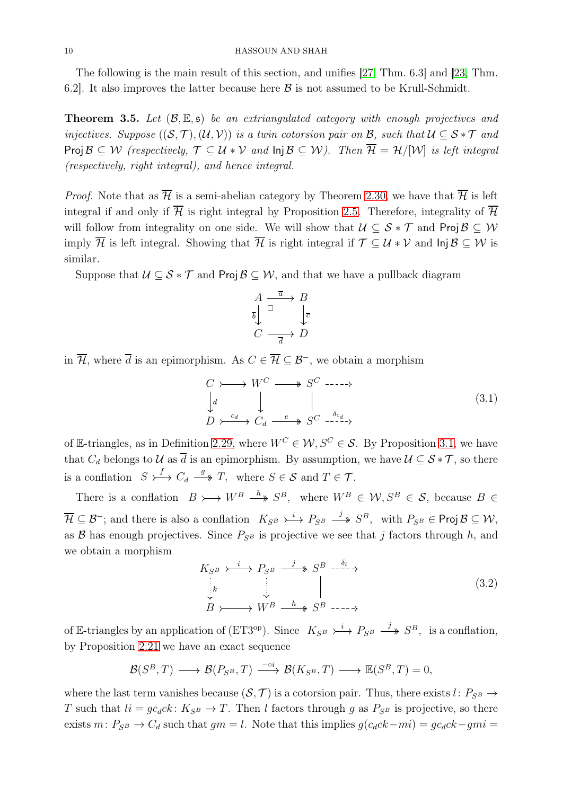The following is the main result of this section, and unifies [\[27,](#page-20-15) Thm. 6.3] and [\[23,](#page-20-17) Thm. 6.2]. It also improves the latter because here  $\beta$  is not assumed to be Krull-Schmidt.

<span id="page-9-0"></span>**Theorem 3.5.** Let  $(\mathcal{B}, \mathbb{E}, \mathfrak{s})$  be an extriangulated category with enough projectives and injectives. Suppose  $((\mathcal{S},\mathcal{T}),(\mathcal{U},\mathcal{V}))$  is a twin cotorsion pair on  $\mathcal{B}$ , such that  $\mathcal{U} \subseteq \mathcal{S} * \mathcal{T}$  and Proj  $\mathcal{B} \subseteq \mathcal{W}$  (respectively,  $\mathcal{T} \subseteq \mathcal{U} * \mathcal{V}$  and  $\mathsf{Inj}\,\mathcal{B} \subseteq \mathcal{W}$ ). Then  $\overline{\mathcal{H}} = \mathcal{H}/[\mathcal{W}]$  is left integral (respectively, right integral), and hence integral.

*Proof.* Note that as  $\overline{\mathcal{H}}$  is a semi-abelian category by Theorem [2.30,](#page-8-0) we have that  $\overline{\mathcal{H}}$  is left integral if and only if  $\overline{\mathcal{H}}$  is right integral by Proposition [2.5.](#page-2-5) Therefore, integrality of  $\overline{\mathcal{H}}$ will follow from integrality on one side. We will show that  $\mathcal{U} \subseteq \mathcal{S} * \mathcal{T}$  and Proj  $\mathcal{B} \subseteq \mathcal{W}$ imply  $\overline{\mathcal{H}}$  is left integral. Showing that  $\overline{\mathcal{H}}$  is right integral if  $\mathcal{T} \subset \mathcal{U} * \mathcal{V}$  and  $\text{Inj } \mathcal{B} \subset \mathcal{W}$  is similar.

Suppose that  $\mathcal{U} \subseteq \mathcal{S} * \mathcal{T}$  and Proj  $\mathcal{B} \subseteq \mathcal{W}$ , and that we have a pullback diagram

$$
A \xrightarrow{\overline{a}} B
$$
  
\n
$$
\overline{b} \downarrow \xrightarrow{\overline{a}} D
$$
  
\n
$$
C \xrightarrow{\overline{a}} D
$$

in  $\overline{\mathcal{H}}$ , where  $\overline{d}$  is an epimorphism. As  $C \in \overline{\mathcal{H}} \subset \mathcal{B}^-$ , we obtain a morphism

<span id="page-9-1"></span>
$$
C \rightarrow W^{C} \longrightarrow S^{C} \longrightarrow
$$
  
\n
$$
\downarrow d \qquad \qquad \downarrow \qquad \qquad \parallel
$$
  
\n
$$
D \rightarrow \xrightarrow{c_d} C_d \xrightarrow{e} S^{C} \xrightarrow{ \delta_{c_d} }
$$
  
\n
$$
(3.1)
$$

of E-triangles, as in Definition [2.29,](#page-7-3) where  $W^C \in \mathcal{W}, S^C \in \mathcal{S}$ . By Proposition [3.1,](#page-8-3) we have that  $C_d$  belongs to U as  $\overline{d}$  is an epimorphism. By assumption, we have  $\mathcal{U} \subseteq \mathcal{S} * \mathcal{T}$ , so there is a conflation  $S \rightarrow^f C_d \stackrel{g}{\longrightarrow} T$ , where  $S \in \mathcal{S}$  and  $T \in \mathcal{T}$ .

There is a conflation  $B \rightarrow W^B \stackrel{h}{\longrightarrow} S^B$ , where  $W^B \in \mathcal{W}, S^B \in \mathcal{S}$ , because  $B \in$  $\overline{\mathcal{H}} \subseteq \mathcal{B}^-$ ; and there is also a conflation  $K_{S^B} \rightarrow^i P_{S^B} \stackrel{j}{\longrightarrow} S^B$ , with  $P_{S^B} \in \text{Proj } \mathcal{B} \subseteq \mathcal{W}$ , as  $\beta$  has enough projectives. Since  $P_{\beta}$  is projective we see that j factors through h, and we obtain a morphism

<span id="page-9-2"></span>
$$
K_{S^B} \xrightarrow{\iota} P_{S^B} \xrightarrow{j} S^B \xrightarrow{\delta_i} \times
$$
  
\n
$$
\downarrow_k
$$
  
\n
$$
\downarrow_B
$$
  
\n
$$
\downarrow_B
$$
  
\n
$$
\downarrow_B
$$
  
\n
$$
\downarrow_B
$$
  
\n
$$
\downarrow_B
$$
  
\n
$$
\downarrow_B
$$
  
\n
$$
\downarrow_B
$$
  
\n
$$
\downarrow_B
$$
  
\n
$$
\downarrow_B
$$
  
\n
$$
\downarrow_B
$$
  
\n
$$
\downarrow_B
$$
  
\n
$$
\downarrow_B
$$
  
\n
$$
\downarrow_B
$$
  
\n
$$
\downarrow_B
$$
  
\n
$$
\downarrow_B
$$
  
\n
$$
\downarrow_B
$$
  
\n
$$
\downarrow_B
$$
  
\n
$$
\downarrow_B
$$
  
\n
$$
\downarrow_B
$$
  
\n
$$
\downarrow_B
$$
  
\n
$$
\downarrow_B
$$
  
\n
$$
\downarrow_B
$$
  
\n
$$
\downarrow_B
$$
  
\n
$$
\downarrow_B
$$
  
\n
$$
\downarrow_B
$$
  
\n
$$
\downarrow_B
$$
  
\n
$$
\downarrow_B
$$
  
\n
$$
\downarrow_B
$$
  
\n
$$
\downarrow_B
$$
  
\n
$$
\downarrow_B
$$
  
\n
$$
\downarrow_B
$$
  
\n
$$
\downarrow_B
$$
  
\n
$$
\downarrow_B
$$
  
\n
$$
\downarrow_B
$$
  
\n
$$
\downarrow_B
$$
  
\n
$$
\downarrow_B
$$
  
\n
$$
\downarrow_B
$$
  
\n
$$
\downarrow_B
$$
  
\n
$$
\downarrow_B
$$
  
\n
$$
\downarrow_B
$$
  
\n
$$
\downarrow_B
$$
  
\n
$$
\downarrow_B
$$
  
\n
$$
\downarrow_B
$$
  
\n
$$
\downarrow_B
$$
  
\n
$$
\downarrow_B
$$
  
\n
$$
\downarrow_B
$$
  
\n
$$
\downarrow_B
$$
<

of E-triangles by an application of  $(ET3^{\text{op}})$ . Since  $K_{S^B} \rightarrow^i P_{S^B} \rightarrow^j S^B$ , is a conflation, by Proposition [2.21](#page-6-0) we have an exact sequence

 $\mathcal{B}(S^B,T) \longrightarrow \mathcal{B}(P_{S^B},T) \stackrel{-\circ i}{\longrightarrow} \mathcal{B}(K_{S^B},T) \longrightarrow \mathbb{E}(S^B,T) = 0,$ 

where the last term vanishes because  $(S, \mathcal{T})$  is a cotorsion pair. Thus, there exists l:  $P_{SB} \rightarrow$ T such that  $li = gc_dck$ :  $K_{SB} \rightarrow T$ . Then l factors through g as  $P_{SB}$  is projective, so there exists m:  $P_{S^B}$  →  $C_d$  such that  $gm = l$ . Note that this implies  $g(c_d c k - mi) = gc_d c k - gmi$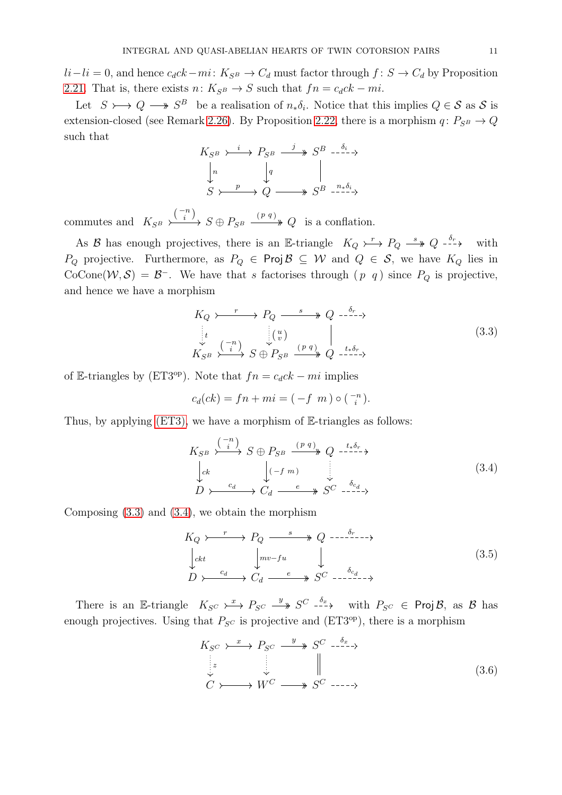$li-li = 0$ , and hence  $c_d c k-mi: K_{S^B} \to C_d$  must factor through  $f: S \to C_d$  by Proposition [2.21.](#page-6-0) That is, there exists  $n: K_{S^B} \to S$  such that  $fn = c_d c k - mi$ .

Let  $S \rightarrow Q \rightarrow S^B$  be a realisation of  $n_*\delta_i$ . Notice that this implies  $Q \in S$  as S is extension-closed (see Remark [2.26\)](#page-7-4). By Proposition [2.22,](#page-6-1) there is a morphism  $q: P_{S^B} \to Q$ such that

$$
K_{S^B} \xrightarrow{\iota} P_{S^B} \xrightarrow{j} S^B \xrightarrow{\delta_i} \xrightarrow{\delta_i}
$$
  
\n
$$
\downarrow n \qquad \qquad \downarrow q \qquad \qquad \parallel
$$
  
\n
$$
S \xrightarrow{p} Q \xrightarrow{\quad} S^B \xrightarrow{n * \delta_i}
$$

commutes and  $K_{S^B} \longrightarrow S \oplus P_{S^B} \longrightarrow Q$  $\binom{-n}{i}$ ,  $C \cap D$   $(p q)$ is a conflation.

As B has enough projectives, there is an E-triangle  $K_Q \rightarrowtail P_Q \stackrel{s}{\longrightarrow} Q \stackrel{\delta_r}{\longrightarrow}$  with P<sub>Q</sub> projective. Furthermore, as  $P_Q \in \text{Proj } B \subseteq W$  and  $Q \in S$ , we have  $K_Q$  lies in CoCone( $W, S$ ) =  $B^-$ . We have that s factorises through  $(p \ q)$  since  $P_Q$  is projective, and hence we have a morphism

<span id="page-10-0"></span>
$$
K_Q \rightarrow \longrightarrow P_Q \longrightarrow \longrightarrow Q \longrightarrow^{\delta_r} \rightarrow \longrightarrow
$$
  
\n
$$
\downarrow \qquad \qquad \downarrow \qquad \qquad \downarrow \qquad \qquad \downarrow
$$
  
\n
$$
K_{S^B} \rightarrow \xrightarrow{\binom{-n}{i}} S \oplus P_{S^B} \xrightarrow{\begin{array}{c} (p \ q) \\ \longrightarrow \end{array}} Q \longrightarrow^{\begin{array}{c} \delta_r \\ \longrightarrow \end{array}} Q \longrightarrow \tag{3.3}
$$

of E-triangles by (ET3<sup>op</sup>). Note that  $fn = c_d c k - mi$  implies

$$
c_d(ck) = fn + mi = (-f \ m) \circ (\frac{-n}{i}).
$$

Thus, by applying [\(ET3\),](#page-4-1) we have a morphism of  $E$ -triangles as follows:

<span id="page-10-1"></span>
$$
K_{S^B} \xrightarrow{\binom{-n}{i}} S \oplus P_{S^B} \xrightarrow{(p \ q)} Q \xrightarrow{\atop{t * \delta_r}} \n\downarrow c^k
$$
\n
$$
\downarrow c^k
$$
\n
$$
D \xrightarrow{c_d} C_d \xrightarrow{e} S^C \xrightarrow{\delta_{c_d}} \n\tag{3.4}
$$

Composing [\(3.3\)](#page-10-0) and [\(3.4\)](#page-10-1), we obtain the morphism

<span id="page-10-3"></span>
$$
K_Q \rightarrow \longrightarrow P_Q \longrightarrow \longrightarrow Q \longrightarrow \longrightarrow \longrightarrow
$$
  
\n
$$
\downarrow_{ckt} \qquad \downarrow_{mv-fu} \qquad \downarrow
$$
  
\n
$$
D \rightarrow \longrightarrow C_d \longrightarrow \longrightarrow S^C \longrightarrow \longrightarrow
$$
  
\n(3.5)

There is an E-triangle  $K_{S^C} \to \to P_{S^C} \to S^C \to \to \to \text{with } P_{S^C} \in \text{Proj } \mathcal{B}$ , as  $\mathcal{B}$  has enough projectives. Using that  $P_{\text{SC}}$  is projective and  $(ET3<sup>op</sup>)$ , there is a morphism

<span id="page-10-2"></span>
$$
K_{S^C} \xrightarrow{\cdot x} P_{S^C} \xrightarrow{\cdot y} S^C \xrightarrow{\cdot \delta_x} \times \cdots \xrightarrow{\cdot \delta_x} \mathbb{I}
$$
\n
$$
\downarrow z
$$
\n
$$
\downarrow z
$$
\n
$$
\downarrow z
$$
\n
$$
\downarrow z
$$
\n
$$
\downarrow z
$$
\n
$$
\downarrow z
$$
\n
$$
\downarrow z
$$
\n
$$
\downarrow z
$$
\n
$$
\downarrow z
$$
\n
$$
\downarrow z
$$
\n
$$
\downarrow z
$$
\n
$$
\downarrow z
$$
\n
$$
\downarrow z
$$
\n
$$
\downarrow z
$$
\n
$$
\downarrow z
$$
\n
$$
\downarrow z
$$
\n
$$
\downarrow z
$$
\n
$$
\downarrow z
$$
\n
$$
\downarrow z
$$
\n
$$
\downarrow z
$$
\n
$$
\downarrow z
$$
\n
$$
\downarrow z
$$
\n
$$
\downarrow z
$$
\n
$$
\downarrow z
$$
\n
$$
\downarrow z
$$
\n
$$
\downarrow z
$$
\n
$$
\downarrow z
$$
\n
$$
\downarrow z
$$
\n
$$
\downarrow z
$$
\n
$$
\downarrow z
$$
\n
$$
\downarrow z
$$
\n
$$
\downarrow z
$$
\n
$$
\downarrow z
$$
\n
$$
\downarrow z
$$
\n
$$
\downarrow z
$$
\n
$$
\downarrow z
$$
\n
$$
\downarrow z
$$
\n
$$
\downarrow z
$$
\n
$$
\downarrow z
$$
\n
$$
\downarrow z
$$
\n
$$
\downarrow z
$$
\n
$$
\downarrow z
$$
\n
$$
\downarrow z
$$
\n
$$
\downarrow z
$$
\n
$$
\downarrow z
$$
\n
$$
\downarrow z
$$
\n
$$
\downarrow z
$$
\n
$$
\downarrow z
$$
\n
$$
\downarrow z
$$
\n
$$
\downarrow z
$$
\n
$$
\downarrow z
$$
\n
$$
\downarrow z
$$
\n
$$
\downarrow z
$$
\n
$$
\downarrow z
$$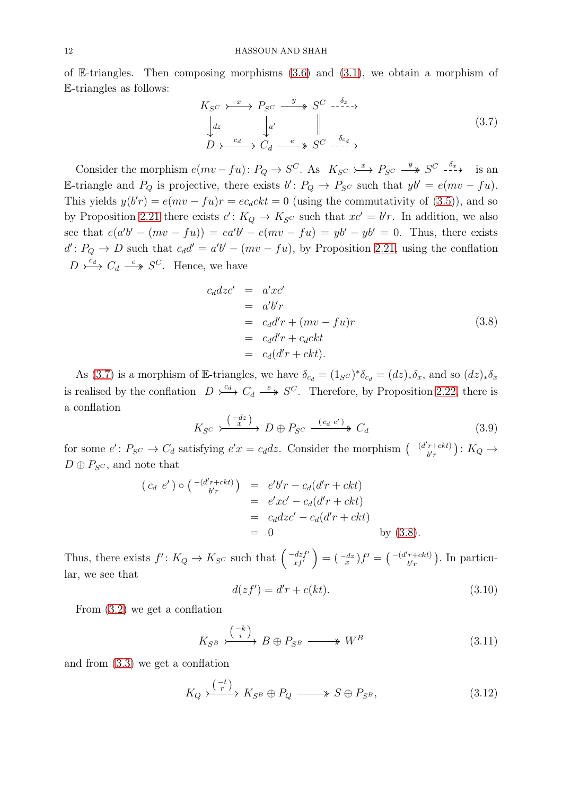of E-triangles. Then composing morphisms  $(3.6)$  and  $(3.1)$ , we obtain a morphism of E-triangles as follows:

<span id="page-11-0"></span>
$$
K_{S^C} \xrightarrow{x} P_{S^C} \xrightarrow{y} S^C \xrightarrow{-\delta_x} \rightarrow
$$
  
\n
$$
\downarrow dz \qquad \qquad \downarrow a' \qquad \qquad \parallel
$$
  
\n
$$
D \xrightarrow{c_d} C_d \xrightarrow{e} S^C \xrightarrow{\delta_{c_d}} \rightarrow
$$
 (3.7)

Consider the morphism  $e(mv-fu)$ :  $P_Q \to S^C$ . As  $K_{S^C} \to \to P_{S^C} \to S^C \to \to \to \infty$  is an E-triangle and  $P_Q$  is projective, there exists  $b' : P_Q \to P_{S^C}$  such that  $yb' = e(mv - fu)$ . This yields  $y(b'r) = e(mv - fu)r = ec_d ckt = 0$  (using the commutativity of [\(3.5\)](#page-10-3)), and so by Proposition [2.21](#page-6-0) there exists  $c' : K_Q \to K_{S^C}$  such that  $xc' = b'r$ . In addition, we also see that  $e(a'b' - (mv - fu)) = ea'b' - e(mv - fu) = yb' - yb' = 0$ . Thus, there exists  $d' : P_Q \to D$  such that  $c_d d' = a'b' - (mv - fu)$ , by Proposition [2.21,](#page-6-0) using the conflation  $D \stackrel{c_d}{\longrightarrow} C_d \stackrel{e}{\longrightarrow} S^C$ . Hence, we have

<span id="page-11-1"></span>
$$
c_d dz c' = a'xc'
$$
  
=  $a'b'r$   
=  $c_d d'r + (mv - fu)r$   
=  $c_d d'r + c_d ckt$   
=  $c_d (d'r + ckt)$ . (3.8)

As [\(3.7\)](#page-11-0) is a morphism of E-triangles, we have  $\delta_{c_d} = (1_{S}c)^* \delta_{c_d} = (dz)_* \delta_x$ , and so  $(dz)_* \delta_x$ is realised by the conflation  $D \stackrel{c_d}{\longrightarrow} C_d \stackrel{e}{\longrightarrow} S^C$ . Therefore, by Proposition [2.22,](#page-6-1) there is a conflation

$$
K_{S^C} \xrightarrow{\binom{-dz}{x}} D \oplus P_{S^C} \xrightarrow{\phantom{a} (c_d e')^{\phantom{A}} C_d} C_d \tag{3.9}
$$

for some  $e' : P_{S^C} \to C_d$  satisfying  $e'x = c_d dz$ . Consider the morphism  $\begin{pmatrix} -(d'r + ck) \\ k'r \end{pmatrix}$  $\binom{r+ckt}{b'r}: K_Q \rightarrow$  $D \oplus P_{SC}$ , and note that

$$
(c_d e') \circ (-(d'_{b'r} + ckt)) = e'b'r - c_d(d'r + ckt)
$$
  
=  $e'xc' - c_d(d'r + ckt)$   
=  $c_d dzc' - c_d(d'r + ckt)$   
= 0 by (3.8).

Thus, there exists  $f' : K_Q \to K_{S^C}$  such that  $\begin{pmatrix} -dzf' \\ x f' \end{pmatrix}$  $\left(\begin{smallmatrix} dz f' \ x f' \end{smallmatrix}\right) = \left(\begin{smallmatrix} -dz \ x \end{smallmatrix}\right) f' = \left(\begin{smallmatrix} -(d'r + ckt) \ b'r \end{smallmatrix}\right)$  $\binom{r+ckt}{b'r}$ . In particular, we see that

<span id="page-11-4"></span>
$$
d(zf') = d'r + c(kt). \tag{3.10}
$$

From [\(3.2\)](#page-9-2) we get a conflation

<span id="page-11-2"></span>
$$
K_{S^B} \xrightarrow{\binom{-k}{i}} B \oplus P_{S^B} \longrightarrow W^B \tag{3.11}
$$

and from [\(3.3\)](#page-10-0) we get a conflation

<span id="page-11-3"></span>
$$
K_Q \xrightarrow{\binom{-t}{r}} K_{S^B} \oplus P_Q \longrightarrow S \oplus P_{S^B}, \tag{3.12}
$$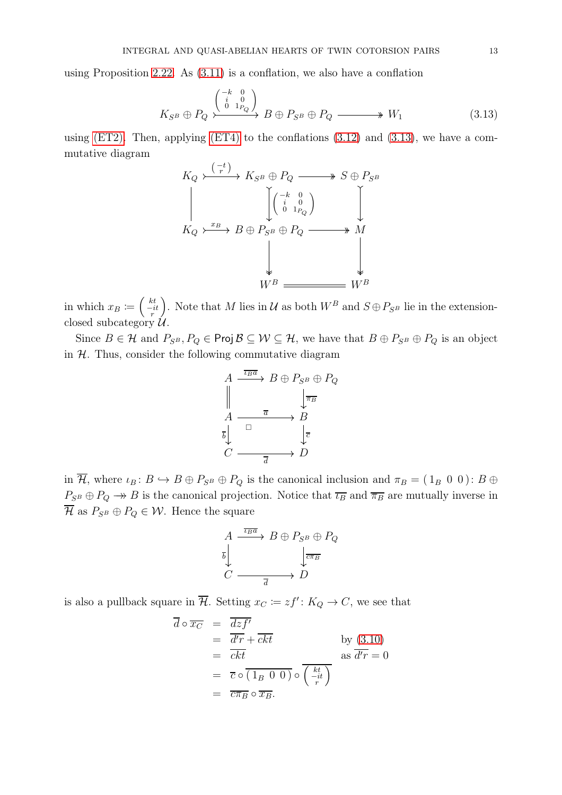using Proposition [2.22.](#page-6-1) As [\(3.11\)](#page-11-2) is a conflation, we also have a conflation

<span id="page-12-0"></span>
$$
K_{S^B} \oplus P_Q \xrightarrow{\begin{pmatrix} -k & 0\\ \begin{smallmatrix} i & 0\\ 0 & 1 \end{smallmatrix} \end{pmatrix}} B \oplus P_{S^B} \oplus P_Q \longrightarrow W_1 \tag{3.13}
$$

using  $(ET2)$ . Then, applying  $(ET4)$  to the conflations  $(3.12)$  and  $(3.13)$ , we have a commutative diagram



in which  $x_B \coloneqq \left(\begin{array}{c}kt \ -it \end{array}\right)$ ). Note that M lies in U as both  $W^B$  and  $S \oplus P_{S^B}$  lie in the extensionclosed subcategory  $\mathcal{U}$ .

Since  $B \in \mathcal{H}$  and  $P_{S^B}, P_Q \in \text{Proj } \mathcal{B} \subseteq \mathcal{W} \subseteq \mathcal{H}$ , we have that  $B \oplus P_{S^B} \oplus P_Q$  is an object in  $H$ . Thus, consider the following commutative diagram

$$
A \xrightarrow{\overline{\iota_B a}} B \oplus P_{S^B} \oplus P_Q
$$
  

$$
A \xrightarrow{\overline{a}} B
$$
  

$$
\overline{b} \downarrow \overline{c}
$$
  

$$
C \xrightarrow{\overline{a}} D
$$

in  $\overline{\mathcal{H}}$ , where  $\iota_B : B \hookrightarrow B \oplus P_{S^B} \oplus P_Q$  is the canonical inclusion and  $\pi_B = (1_B \ 0 \ 0) : B \oplus$  $P_{S^B} \oplus P_Q \to B$  is the canonical projection. Notice that  $\overline{\iota_B}$  and  $\overline{\pi_B}$  are mutually inverse in  $\overline{\mathcal{H}}$  as  $P_{S^B} \oplus P_Q \in \mathcal{W}$ . Hence the square

$$
A \xrightarrow{\overline{\iota_B a}} B \oplus P_{S^B} \oplus P_Q
$$
  

$$
\overline{b} \downarrow \qquad \qquad \downarrow \overline{c \pi_B}
$$
  

$$
C \longrightarrow \overline{a} \longrightarrow D
$$

is also a pullback square in  $\overline{\mathcal{H}}$ . Setting  $x_C := zf' : K_Q \to C$ , we see that

$$
\overline{d} \circ \overline{x_C} = \frac{\overline{dz}f'}{\overline{d}r + ckt} \n= \overline{ckt} \qquad \qquad \text{by (3.10)}\n= \overline{c} \circ \overline{(1_B \ 0 \ 0)} \circ \overline{(\begin{array}{c} kt \\ -it \end{array})} \n= \overline{c} \overline{\sigma_B} \circ \overline{x_B}.
$$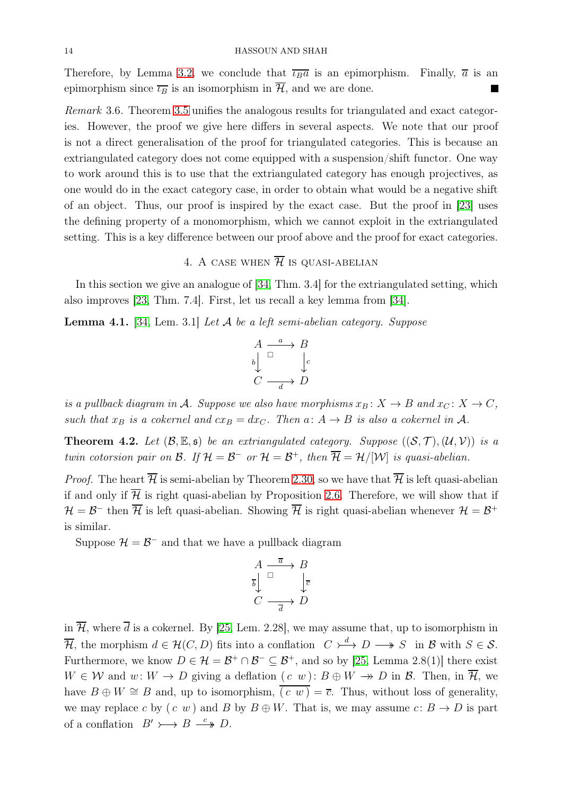Therefore, by Lemma [3.2,](#page-8-4) we conclude that  $\overline{\iota_{B}a}$  is an epimorphism. Finally,  $\overline{a}$  is an epimorphism since  $\overline{\iota_B}$  is an isomorphism in  $\overline{\mathcal{H}}$ , and we are done. П

Remark 3.6. Theorem [3.5](#page-9-0) unifies the analogous results for triangulated and exact categories. However, the proof we give here differs in several aspects. We note that our proof is not a direct generalisation of the proof for triangulated categories. This is because an extriangulated category does not come equipped with a suspension/shift functor. One way to work around this is to use that the extriangulated category has enough projectives, as one would do in the exact category case, in order to obtain what would be a negative shift of an object. Thus, our proof is inspired by the exact case. But the proof in [\[23\]](#page-20-17) uses the defining property of a monomorphism, which we cannot exploit in the extriangulated setting. This is a key difference between our proof above and the proof for exact categories.

# 4. A CASE WHEN  $\overline{\mathcal{H}}$  is quasi-abelian

<span id="page-13-1"></span>In this section we give an analogue of [\[34,](#page-21-6) Thm. 3.4] for the extriangulated setting, which also improves [\[23,](#page-20-17) Thm. 7.4]. First, let us recall a key lemma from [\[34\]](#page-21-6).

<span id="page-13-2"></span>**Lemma 4.1.** [\[34,](#page-21-6) Lem. 3.1] Let  $\mathcal A$  be a left semi-abelian category. Suppose

$$
\begin{array}{ccc}\nA & \xrightarrow{a} & B \\
b & \xrightarrow{a} & c \\
C & \xrightarrow{d} & D\n\end{array}
$$

is a pullback diagram in A. Suppose we also have morphisms  $x_B: X \to B$  and  $x_C: X \to C$ , such that  $x_B$  is a cokernel and  $cx_B = dx_C$ . Then  $a: A \rightarrow B$  is also a cokernel in A.

<span id="page-13-0"></span>**Theorem 4.2.** Let  $(\mathcal{B}, \mathbb{E}, \mathfrak{s})$  be an extriangulated category. Suppose  $((\mathcal{S}, \mathcal{T}), (\mathcal{U}, \mathcal{V}))$  is a twin cotorsion pair on B. If  $\mathcal{H} = \mathcal{B}^-$  or  $\mathcal{H} = \mathcal{B}^+$ , then  $\overline{\mathcal{H}} = \mathcal{H}/[\mathcal{W}]$  is quasi-abelian.

*Proof.* The heart  $\overline{\mathcal{H}}$  is semi-abelian by Theorem [2.30,](#page-8-0) so we have that  $\overline{\mathcal{H}}$  is left quasi-abelian if and only if  $\overline{\mathcal{H}}$  is right quasi-abelian by Proposition [2.6.](#page-2-6) Therefore, we will show that if  $\mathcal{H}=\mathcal{B}^-$  then  $\overline{\mathcal{H}}$  is left quasi-abelian. Showing  $\overline{\mathcal{H}}$  is right quasi-abelian whenever  $\mathcal{H}=\mathcal{B}^+$ is similar.

Suppose  $\mathcal{H} = \mathcal{B}^-$  and that we have a pullback diagram

$$
\begin{array}{ccc}\nA & \xrightarrow{\overline{a}} & B \\
\overline{b} & & \downarrow{\overline{c}} \\
C & \xrightarrow{\overline{a}} & D\n\end{array}
$$

in  $\overline{\mathcal{H}}$ , where  $\overline{d}$  is a cokernel. By [\[25,](#page-20-4) Lem. 2.28], we may assume that, up to isomorphism in  $\overline{\mathcal{H}}$ , the morphism  $d \in \mathcal{H}(C, D)$  fits into a conflation  $C \rightarrow \rightarrow D \rightarrow S$  in B with  $S \in \mathcal{S}$ . Furthermore, we know  $D \in \mathcal{H} = \mathcal{B}^+ \cap \mathcal{B}^- \subseteq \mathcal{B}^+$ , and so by [\[25,](#page-20-4) Lemma 2.8(1)] there exist  $W \in \mathcal{W}$  and  $w: W \to D$  giving a deflation  $(c \ w): B \oplus W \to D$  in  $\mathcal{B}$ . Then, in  $\overline{\mathcal{H}}$ , we have  $B \oplus W \cong B$  and, up to isomorphism,  $\overline{(c w)} = \overline{c}$ . Thus, without loss of generality, we may replace c by  $(c, w)$  and B by  $B \oplus W$ . That is, we may assume  $c: B \to D$  is part of a conflation  $B' \rightarrow B \stackrel{c}{\longrightarrow} D$ .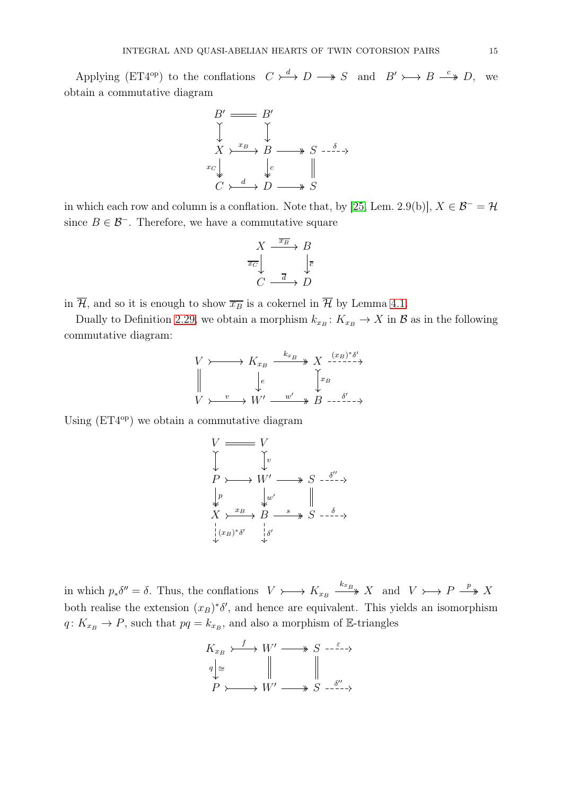Applying (ET4<sup>op</sup>) to the conflations  $C \stackrel{d}{\longrightarrow} D \longrightarrow S$  and  $B' \rightarrow B \stackrel{c}{\longrightarrow} D$ , we obtain a commutative diagram

$$
B' \longrightarrow B'
$$
  
\n
$$
\downarrow \qquad \qquad \downarrow
$$
  
\n
$$
X \rightarrow^{x_B} B \longrightarrow S \rightarrow \delta \rightarrow
$$
  
\n
$$
x_C \downarrow \qquad \qquad \downarrow_c \qquad \qquad \parallel
$$
  
\n
$$
C \rightarrow^{d} D \rightarrow^{s} S
$$

in which each row and column is a conflation. Note that, by [\[25,](#page-20-4) Lem. 2.9(b)],  $X \in \mathcal{B}^- = \mathcal{H}$ since  $B \in \mathcal{B}^-$ . Therefore, we have a commutative square

$$
\begin{array}{ccc}\nX & \xrightarrow{\overline{x_B}} & B \\
\downarrow{\overline{x_C}} & & \downarrow{\overline{c}} \\
C & \xrightarrow{\overline{d}} & D\n\end{array}
$$

in  $\overline{\mathcal{H}}$ , and so it is enough to show  $\overline{x}_B$  is a cokernel in  $\overline{\mathcal{H}}$  by Lemma [4.1.](#page-13-2)

Dually to Definition [2.29,](#page-7-3) we obtain a morphism  $k_{x_B}: K_{x_B} \to X$  in  $\mathcal{B}$  as in the following commutative diagram:

$$
V \rightarrowtail K_{x_B} \xrightarrow{k_{x_B}} X \xrightarrow{(x_B)^* \delta'}
$$
  
\n
$$
\downarrow e \qquad \qquad \downarrow x_B
$$
  
\n
$$
V \rightarrowtail W' \xrightarrow{w'} B \xrightarrow{\delta' \qquad \rightarrow}
$$

Using  $(ET4<sup>op</sup>)$  we obtain a commutative diagram

$$
V \longrightarrow V
$$
  
\n
$$
P \longrightarrow W' \longrightarrow S \longrightarrow^{\delta''} \rightarrow
$$
  
\n
$$
\downarrow p \qquad \downarrow w' \qquad \parallel
$$
  
\n
$$
X \longrightarrow B \longrightarrow S \longrightarrow^{\delta''} \rightarrow
$$
  
\n
$$
\downarrow (x_B)^* \delta' \qquad \downarrow \delta'
$$

in which  $p_*\delta'' = \delta$ . Thus, the conflations  $V \rightarrow \mathbb{R}_{x_B} \xrightarrow{k_{x_B}} X$  and  $V \rightarrow \mathbb{R} \xrightarrow{p} X$ both realise the extension  $(x_B)^*\delta'$ , and hence are equivalent. This yields an isomorphism  $q: K_{xB} \to P$ , such that  $pq = k_{xB}$ , and also a morphism of E-triangles

$$
K_{x_B} \xrightarrow{f} W' \longrightarrow S \xrightarrow{f \xrightarrow{g} S} \xrightarrow{f \xrightarrow{g} W'}
$$
  
\n
$$
P \xrightarrow{W'} \longrightarrow S \xrightarrow{S''} \xrightarrow{S''}
$$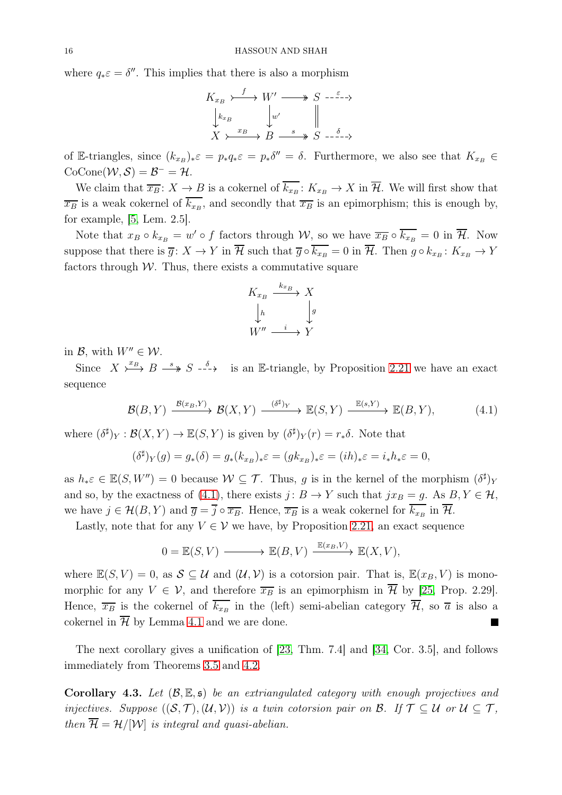where  $q_*\varepsilon = \delta''$ . This implies that there is also a morphism

$$
K_{x_B} \xrightarrow{f} W' \longrightarrow S \xrightarrow{-\varepsilon} \rightarrow
$$
  
\n
$$
\downarrow_{k_{x_B}} \qquad \downarrow w' \qquad \parallel
$$
  
\n
$$
X \xrightarrow{x_B} B \xrightarrow{s} S \xrightarrow{-\delta} \rightarrow
$$

of E-triangles, since  $(k_{x_B})_*\varepsilon = p_*q_*\varepsilon = p_*\delta'' = \delta$ . Furthermore, we also see that  $K_{x_B} \in$  $\operatorname{CoCone}\nolimits(\mathcal{W},\mathcal{S})=\mathcal{B}^-=\mathcal{H}.$ 

We claim that  $\overline{x_B}$ :  $X \to B$  is a cokernel of  $k_{x_B}$ :  $K_{x_B} \to X$  in  $H$ . We will first show that  $\overline{x_B}$  is a weak cokernel of  $k_{x_B}$ , and secondly that  $\overline{x_B}$  is an epimorphism; this is enough by, for example, [\[5,](#page-19-4) Lem. 2.5].

Note that  $x_B \circ k_{x_B} = w' \circ f$  factors through W, so we have  $\overline{x_B} \circ \overline{k_{x_B}} = 0$  in  $\overline{\mathcal{H}}$ . Now suppose that there is  $\overline{g}$ :  $X \to Y$  in  $\mathcal{H}$  such that  $\overline{g} \circ k_{x_B} = 0$  in  $\mathcal{H}$ . Then  $g \circ k_{x_B}$ :  $K_{x_B} \to Y$ factors through  $W$ . Thus, there exists a commutative square

$$
K_{x_B} \xrightarrow{k_{x_B}} X
$$
  
\n
$$
\downarrow h \qquad \qquad \downarrow g
$$
  
\n
$$
W'' \xrightarrow{i} Y
$$

in  $\mathcal{B}$ , with  $W'' \in \mathcal{W}$ .

Since  $X \xrightarrow{x_{B}} B \xrightarrow{s} S \xrightarrow{-\delta}$  is an E-triangle, by Proposition [2.21](#page-6-0) we have an exact sequence

<span id="page-15-1"></span>
$$
\mathcal{B}(B,Y) \xrightarrow{\mathcal{B}(x_B,Y)} \mathcal{B}(X,Y) \xrightarrow{(\delta^\sharp)_Y} \mathbb{E}(S,Y) \xrightarrow{\mathbb{E}(s,Y)} \mathbb{E}(B,Y), \tag{4.1}
$$

where  $(\delta^{\sharp})_Y : \mathcal{B}(X, Y) \to \mathbb{E}(S, Y)$  is given by  $(\delta^{\sharp})_Y(r) = r_* \delta$ . Note that

$$
(\delta^{\sharp})_{Y}(g) = g_{*}(\delta) = g_{*}(k_{xB})_{*}\varepsilon = (gk_{xB})_{*}\varepsilon = (ih)_{*}\varepsilon = i_{*}h_{*}\varepsilon = 0,
$$

as  $h_*\varepsilon \in \mathbb{E}(S, W'') = 0$  because  $W \subseteq \mathcal{T}$ . Thus, g is in the kernel of the morphism  $(\delta^{\sharp})_Y$ and so, by the exactness of [\(4.1\)](#page-15-1), there exists  $j: B \to Y$  such that  $jx_B = g$ . As  $B, Y \in \mathcal{H}$ , we have  $j \in \mathcal{H}(B, Y)$  and  $\overline{g} = j \circ \overline{x_B}$ . Hence,  $\overline{x_B}$  is a weak cokernel for  $k_{x_B}$  in  $\mathcal{H}$ .

Lastly, note that for any  $V \in V$  we have, by Proposition [2.21,](#page-6-0) an exact sequence

$$
0 = \mathbb{E}(S, V) \longrightarrow \mathbb{E}(B, V) \xrightarrow{\mathbb{E}(x_B, V)} \mathbb{E}(X, V),
$$

where  $\mathbb{E}(S, V) = 0$ , as  $S \subseteq \mathcal{U}$  and  $(\mathcal{U}, \mathcal{V})$  is a cotorsion pair. That is,  $\mathbb{E}(x_B, V)$  is monomorphic for any  $V \in \mathcal{V}$ , and therefore  $\overline{x_B}$  is an epimorphism in  $\overline{\mathcal{H}}$  by [\[25,](#page-20-4) Prop. 2.29]. Hence,  $\overline{x_B}$  is the cokernel of  $k_{x_B}$  in the (left) semi-abelian category  $\mathcal{H}$ , so  $\overline{a}$  is also a cokernel in  $\overline{\mathcal{H}}$  by Lemma [4.1](#page-13-2) and we are done.

The next corollary gives a unification of [\[23,](#page-20-17) Thm. 7.4] and [\[34,](#page-21-6) Cor. 3.5], and follows immediately from Theorems [3.5](#page-9-0) and [4.2.](#page-13-0)

<span id="page-15-0"></span>**Corollary 4.3.** Let  $(\mathcal{B}, \mathbb{E}, \mathfrak{s})$  be an extriangulated category with enough projectives and injectives. Suppose  $((\mathcal{S},\mathcal{T}),(\mathcal{U},\mathcal{V}))$  is a twin cotorsion pair on  $\mathcal{B}$ . If  $\mathcal{T} \subset \mathcal{U}$  or  $\mathcal{U} \subset \mathcal{T}$ , then  $\overline{\mathcal{H}} = \mathcal{H}/|\mathcal{W}|$  is integral and quasi-abelian.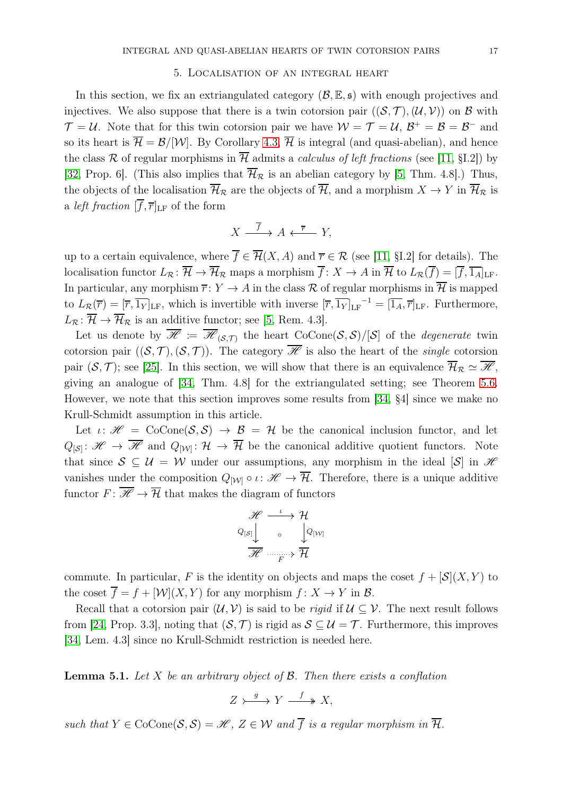## 5. Localisation of an integral heart

<span id="page-16-0"></span>In this section, we fix an extriangulated category  $(\mathcal{B}, \mathbb{E}, \mathfrak{s})$  with enough projectives and injectives. We also suppose that there is a twin cotorsion pair  $((\mathcal{S}, \mathcal{T}),(\mathcal{U}, \mathcal{V}))$  on  $\mathcal{B}$  with  $\mathcal{T} = \mathcal{U}$ . Note that for this twin cotorsion pair we have  $\mathcal{W} = \mathcal{T} = \mathcal{U}$ ,  $\mathcal{B}^+ = \mathcal{B} = \mathcal{B}^-$  and so its heart is  $\overline{\mathcal{H}} = \mathcal{B}/|\mathcal{W}|$ . By Corollary [4.3,](#page-15-0)  $\overline{\mathcal{H}}$  is integral (and quasi-abelian), and hence the class R of regular morphisms in  $\overline{\mathcal{H}}$  admits a *calculus of left fractions* (see [\[11,](#page-20-19) §I.2]) by [\[32,](#page-20-18) Prop. 6]. (This also implies that  $\overline{\mathcal{H}}_{\mathcal{R}}$  is an abelian category by [\[5,](#page-19-4) Thm. 4.8].) Thus, the objects of the localisation  $\overline{\mathcal{H}}_{\mathcal{R}}$  are the objects of  $\overline{\mathcal{H}}$ , and a morphism  $X \to Y$  in  $\overline{\mathcal{H}}_{\mathcal{R}}$  is a *left fraction*  $[\overline{f}, \overline{r}]_{LF}$  of the form

$$
X \xrightarrow{\overline{f}} A \xleftarrow{\overline{r}} Y,
$$

up to a certain equivalence, where  $\overline{f} \in \overline{\mathcal{H}}(X, A)$  and  $\overline{r} \in \mathcal{R}$  (see [\[11,](#page-20-19) §I.2] for details). The localisation functor  $L_{\mathcal{R}} : \overline{\mathcal{H}} \to \overline{\mathcal{H}}_{\mathcal{R}}$  maps a morphism  $\overline{f} : X \to A$  in  $\overline{\mathcal{H}}$  to  $L_{\mathcal{R}}(\overline{f}) = [\overline{f}, \overline{1_A}]_{\text{LF}}$ . In particular, any morphism  $\overline{r}$ :  $Y \to A$  in the class R of regular morphisms in  $\overline{\mathcal{H}}$  is mapped to  $L_{\mathcal{R}}(\overline{r}) = [\overline{r}, \overline{1_Y}]_{LF}$ , which is invertible with inverse  $[\overline{r}, \overline{1_Y}]_{LF}^{-1} = [\overline{1_A}, \overline{r}]_{LF}$ . Furthermore,  $L_{\mathcal{R}}: \overline{\mathcal{H}} \to \overline{\mathcal{H}}_{\mathcal{R}}$  is an additive functor; see [\[5,](#page-19-4) Rem. 4.3].

Let us denote by  $\overline{\mathscr{H}} := \overline{\mathscr{H}}_{(\mathcal{S},\mathcal{T})}$  the heart  $\text{CoCone}(\mathcal{S},\mathcal{S})/[\mathcal{S}]$  of the *degenerate* twin cotorsion pair  $((\mathcal{S}, \mathcal{T}),(\mathcal{S}, \mathcal{T}))$ . The category  $\overline{\mathscr{H}}$  is also the heart of the *single* cotorsion pair  $(S, \mathcal{T})$ ; see [\[25\]](#page-20-4). In this section, we will show that there is an equivalence  $\overline{\mathcal{H}}_R \simeq \overline{\mathcal{H}}$ , giving an analogue of [\[34,](#page-21-6) Thm. 4.8] for the extriangulated setting; see Theorem [5.6.](#page-19-6) However, we note that this section improves some results from [\[34,](#page-21-6) §4] since we make no Krull-Schmidt assumption in this article.

Let  $\iota: \mathscr{H} = \text{CoCone}(\mathcal{S}, \mathcal{S}) \to \mathcal{B} = \mathcal{H}$  be the canonical inclusion functor, and let  $Q_{\{S\}}: \mathscr{H} \to \overline{\mathscr{H}}$  and  $Q_{\{W\}}: \mathcal{H} \to \overline{\mathcal{H}}$  be the canonical additive quotient functors. Note that since  $S \subseteq U = W$  under our assumptions, any morphism in the ideal [S] in H vanishes under the composition  $Q_{[W]} \circ \iota \colon \mathscr{H} \to \overline{\mathcal{H}}$ . Therefore, there is a unique additive functor  $F: \overline{\mathcal{H}} \to \overline{\mathcal{H}}$  that makes the diagram of functors

$$
\begin{array}{c}\mathscr{H} \stackrel{\iota}{\longrightarrow} \mathcal{H} \\[1mm] Q_{\left[ \mathcal{S} \right]} \end{array} \quad \ \ \, \circ \quad \ \ \, \begin{array}{c}\mathcal{H} \\[1mm] Q_{\left[ \mathcal{W} \right]} \\[1mm] \overline{\mathscr{H}} \stackrel{\cdot}{\longrightarrow} \overline{\mathcal{H}} \end{array}
$$

commute. In particular, F is the identity on objects and maps the coset  $f + [\mathcal{S}](X, Y)$  to the coset  $\overline{f} = f + [\mathcal{W}](X, Y)$  for any morphism  $f: X \to Y$  in  $\mathcal{B}$ .

Recall that a cotorsion pair  $(\mathcal{U}, \mathcal{V})$  is said to be *rigid* if  $\mathcal{U} \subseteq \mathcal{V}$ . The next result follows from [\[24,](#page-20-3) Prop. 3.3], noting that  $(S, \mathcal{T})$  is rigid as  $S \subseteq \mathcal{U} = \mathcal{T}$ . Furthermore, this improves [\[34,](#page-21-6) Lem. 4.3] since no Krull-Schmidt restriction is needed here.

<span id="page-16-1"></span>**Lemma 5.1.** Let X be an arbitrary object of  $\beta$ . Then there exists a conflation

 $Z \rightarrow \longrightarrow Y \stackrel{f}{\longrightarrow} X$ ,

such that  $Y \in \text{CoCone}(\mathcal{S}, \mathcal{S}) = \mathcal{H}, Z \in \mathcal{W}$  and  $\overline{f}$  is a regular morphism in  $\overline{\mathcal{H}}$ .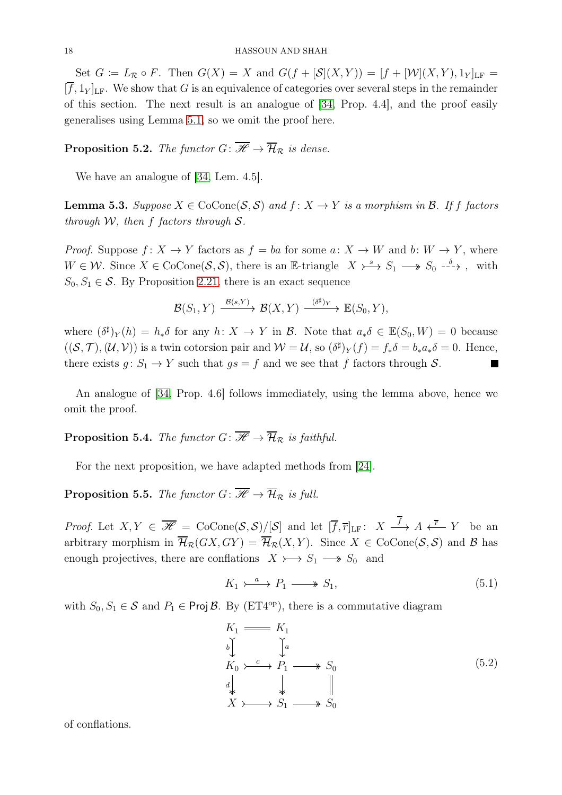Set  $G := L_{\mathcal{R}} \circ F$ . Then  $G(X) = X$  and  $G(f + [\mathcal{S}](X, Y)) = [f + [\mathcal{W}](X, Y), 1_Y]_{LF} =$  $[\overline{f}, 1_Y]_{LF}$ . We show that G is an equivalence of categories over several steps in the remainder of this section. The next result is an analogue of [\[34,](#page-21-6) Prop. 4.4], and the proof easily generalises using Lemma [5.1,](#page-16-1) so we omit the proof here.

**Proposition 5.2.** The functor  $G: \mathcal{H} \to \overline{\mathcal{H}}_{\mathcal{R}}$  is dense.

We have an analogue of [\[34,](#page-21-6) Lem. 4.5].

**Lemma 5.3.** Suppose  $X \in \text{CoCone}(\mathcal{S}, \mathcal{S})$  and  $f: X \to Y$  is a morphism in  $\mathcal{B}$ . If f factors through  $W$ , then f factors through  $S$ .

*Proof.* Suppose  $f: X \to Y$  factors as  $f = ba$  for some  $a: X \to W$  and  $b: W \to Y$ , where  $W \in \mathcal{W}$ . Since  $X \in \text{CoCone}(\mathcal{S}, \mathcal{S})$ , there is an E-triangle  $X \rightarrow^{s} S_1 \longrightarrow S_0 \rightarrow^{s}$ , with  $S_0, S_1 \in \mathcal{S}$ . By Proposition [2.21,](#page-6-0) there is an exact sequence

$$
\mathcal{B}(S_1,Y) \xrightarrow{\mathcal{B}(s,Y)} \mathcal{B}(X,Y) \xrightarrow{(\delta^{\sharp})_Y} \mathbb{E}(S_0,Y),
$$

where  $(\delta^{\sharp})_Y(h) = h_*\delta$  for any  $h: X \to Y$  in  $\mathcal{B}$ . Note that  $a_*\delta \in \mathbb{E}(S_0, W) = 0$  because  $((\mathcal{S},\mathcal{T}),(\mathcal{U},\mathcal{V}))$  is a twin cotorsion pair and  $\mathcal{W}=\mathcal{U}$ , so  $(\delta^{\sharp})_Y(f)=f_*\delta=b_*a_*\delta=0$ . Hence, there exists  $g: S_1 \to Y$  such that  $gs = f$  and we see that f factors through S.  $\overline{\phantom{a}}$ 

An analogue of [\[34,](#page-21-6) Prop. 4.6] follows immediately, using the lemma above, hence we omit the proof.

**Proposition 5.4.** The functor  $G: \overline{\mathcal{H}} \to \overline{\mathcal{H}}_{\mathcal{R}}$  is faithful.

For the next proposition, we have adapted methods from [\[24\]](#page-20-3).

**Proposition 5.5.** The functor  $G: \overline{\mathcal{H}} \to \overline{\mathcal{H}}_{\mathcal{R}}$  is full.

*Proof.* Let  $X, Y \in \overline{\mathscr{H}} = \text{CoCone}(\mathcal{S}, \mathcal{S})/[\mathcal{S}]$  and let  $[\overline{f}, \overline{r}]_{LF}: X \longrightarrow A \xleftarrow{\overline{r}} Y$  be an arbitrary morphism in  $\overline{\mathcal{H}}_{\mathcal{R}}(GX, GY) = \overline{\mathcal{H}}_{\mathcal{R}}(X, Y)$ . Since  $X \in \text{CoCone}(\mathcal{S}, \mathcal{S})$  and  $\mathcal{B}$  has enough projectives, there are conflations  $X \rightarrow S_1 \rightarrow S_0$  and

> <span id="page-17-0"></span> $K_1 \rightarrow^a P_1 \longrightarrow S_1,$ (5.1)

with  $S_0, S_1 \in \mathcal{S}$  and  $P_1 \in \text{Proj } \mathcal{B}$ . By (ET4<sup>op</sup>), there is a commutative diagram

$$
K_1 \longrightarrow K_1
$$
  
\n
$$
K_0 \longrightarrow^c P_1 \longrightarrow^c S_0
$$
  
\n
$$
\downarrow^d \qquad \qquad \downarrow^d \qquad \qquad \parallel
$$
  
\n
$$
X \longrightarrow^c S_1 \longrightarrow^c S_0
$$
  
\n(5.2)

of conflations.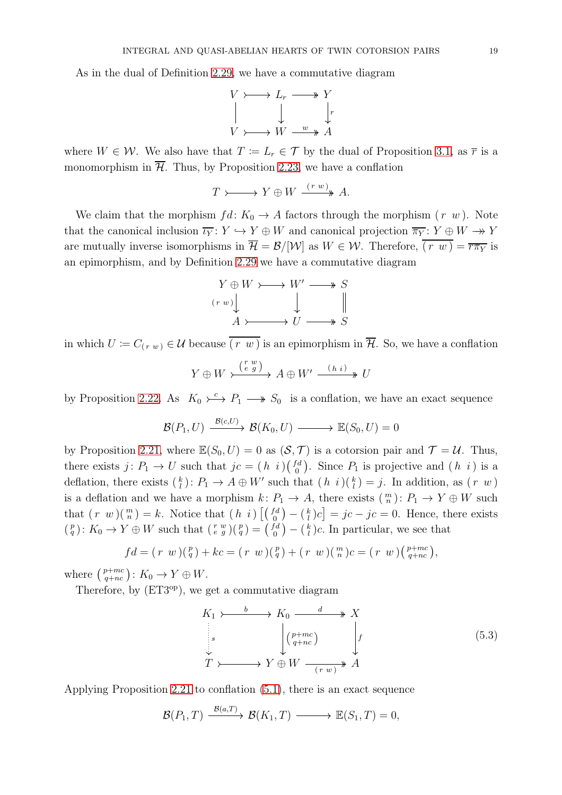As in the dual of Definition [2.29,](#page-7-3) we have a commutative diagram

$$
V \rightarrow L_r \longrightarrow Y
$$
  
\n
$$
\parallel \qquad \qquad \downarrow \qquad \qquad \downarrow r
$$
  
\n
$$
V \rightarrow W \xrightarrow{w} A
$$

where  $W \in \mathcal{W}$ . We also have that  $T := L_r \in \mathcal{T}$  by the dual of Proposition [3.1,](#page-8-3) as  $\overline{r}$  is a monomorphism in  $\overline{\mathcal{H}}$ . Thus, by Proposition [2.23,](#page-6-2) we have a conflation

$$
T \rightarrow \longrightarrow Y \oplus W \xrightarrow{(r w)} A.
$$

We claim that the morphism  $fd: K_0 \to A$  factors through the morphism  $(r \ w)$ . Note that the canonical inclusion  $\overline{\iota_Y} : Y \hookrightarrow Y \oplus W$  and canonical projection  $\overline{\pi_Y} : Y \oplus W \longrightarrow Y$ are mutually inverse isomorphisms in  $\overline{\mathcal{H}} = \mathcal{B}/|\mathcal{W}|$  as  $W \in \mathcal{W}$ . Therefore,  $\overline{(r w)} = \overline{r \pi_Y}$  is an epimorphism, and by Definition [2.29](#page-7-3) we have a commutative diagram



in which  $U := C_{(r w)} \in \mathcal{U}$  because  $\overline{(r w)}$  is an epimorphism in  $\overline{\mathcal{H}}$ . So, we have a conflation

$$
Y \oplus W \xrightarrow{\binom{r w}{e g}} A \oplus W' \xrightarrow{(h i)} U
$$

by Proposition [2.22.](#page-6-1) As  $K_0 \rightarrow \rightarrow P_1 \rightarrow S_0$  is a conflation, we have an exact sequence

$$
\mathcal{B}(P_1, U) \xrightarrow{\mathcal{B}(c, U)} \mathcal{B}(K_0, U) \longrightarrow \mathbb{E}(S_0, U) = 0
$$

by Proposition [2.21,](#page-6-0) where  $\mathbb{E}(S_0, U) = 0$  as  $(S, \mathcal{T})$  is a cotorsion pair and  $\mathcal{T} = \mathcal{U}$ . Thus, there exists  $j: P_1 \to U$  such that  $jc = (h \, i)(\begin{bmatrix} fd \\ 0 \end{bmatrix})$  ${f_d \choose 0}$ . Since  $P_1$  is projective and  $(h \, i)$  is a deflation, there exists  $\binom{k}{l}: P_1 \to A \oplus W'$  such that  $(h \, i)(\frac{k}{l}) = j$ . In addition, as  $(r \, w)$ is a deflation and we have a morphism  $k: P_1 \to A$ , there exists  $\binom{m}{n}: P_1 \to Y \oplus W$  such that  $(r \ w)(\binom{m}{n} = k$ . Notice that  $(h \ i) \left[ \binom{fd}{0} - \binom{k}{l} c \right] = jc - jc = 0$ . Hence, there exists  $\binom{p}{q}$ :  $K_0 \to Y \oplus W$  such that  $\binom{r}{e} \binom{p}{q} = \binom{fd}{0}$  ${f_d \choose 0} - {k \choose l}c$ . In particular, we see that

$$
fd = (r \ w)(\frac{p}{q}) + kc = (r \ w)(\frac{p}{q}) + (r \ w)(\frac{m}{n})c = (r \ w)(\frac{p+mc}{q+nc}),
$$

where  $\binom{p+mc}{q+nc}$ :  $K_0 \to Y \oplus W$ .

Therefore, by (ET3<sup>op</sup>), we get a commutative diagram

$$
K_1 \rightarrow \longrightarrow K_0 \xrightarrow{d} X
$$
  
\n
$$
\downarrow s
$$
  
\n
$$
\downarrow s
$$
  
\n
$$
T \rightarrow \longrightarrow Y \oplus W \xrightarrow{(r w)} A
$$
  
\n
$$
(5.3)
$$
  
\n
$$
(5.3)
$$

Applying Proposition [2.21](#page-6-0) to conflation [\(5.1\)](#page-17-0), there is an exact sequence

$$
\mathcal{B}(P_1,T) \xrightarrow{\mathcal{B}(a,T)} \mathcal{B}(K_1,T) \longrightarrow \mathbb{E}(S_1,T) = 0,
$$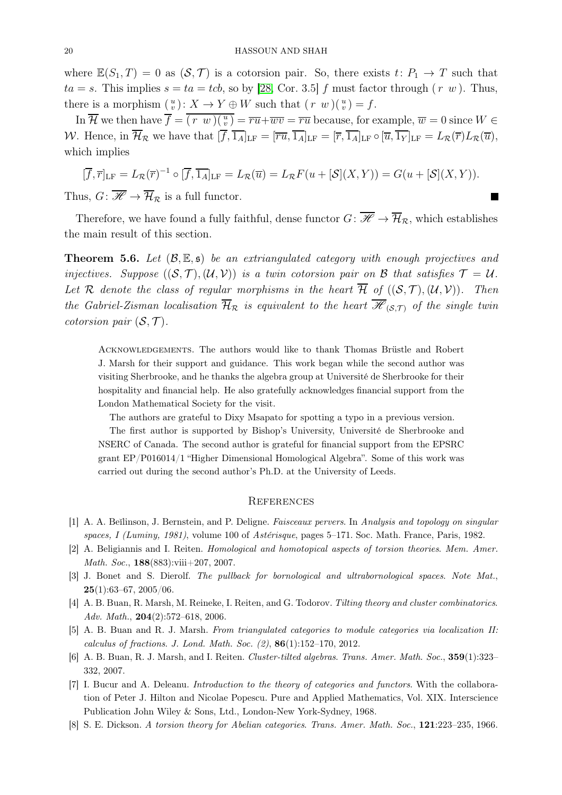where  $\mathbb{E}(S_1, T) = 0$  as  $(S, \mathcal{T})$  is a cotorsion pair. So, there exists  $t: P_1 \to T$  such that  $ta = s$ . This implies  $s = ta = tcb$ , so by [\[28,](#page-20-0) Cor. 3.5] f must factor through  $(r, w)$ . Thus, there is a morphism  $\binom{u}{v}$ :  $X \to Y \oplus W$  such that  $\left( r \ w \right) \left( \frac{u}{v} \right) = f$ .

In  $\overline{\mathcal{H}}$  we then have  $\overline{f} = \overline{(r \ w)(\frac{u}{v})} = \overline{ru} + \overline{wv} = \overline{ru}$  because, for example,  $\overline{w} = 0$  since  $W \in$ W. Hence, in  $\overline{\mathcal{H}}_{\mathcal{R}}$  we have that  $[\overline{f}, \overline{1_A}]_{LF} = [\overline{ru}, \overline{1_A}]_{LF} = [\overline{r}, \overline{1_A}]_{LF} \circ [\overline{u}, \overline{1_Y}]_{LF} = L_{\mathcal{R}}(\overline{r})L_{\mathcal{R}}(\overline{u}),$ which implies

$$
[\overline{f}, \overline{r}]_{LF} = L_{\mathcal{R}}(\overline{r})^{-1} \circ [\overline{f}, \overline{1_A}]_{LF} = L_{\mathcal{R}}(\overline{u}) = L_{\mathcal{R}} F(u + [\mathcal{S}](X, Y)) = G(u + [\mathcal{S}](X, Y)).
$$

Thus,  $G: \overline{\mathscr{H}} \to \overline{\mathcal{H}}_{\mathcal{R}}$  is a full functor.

Therefore, we have found a fully faithful, dense functor  $G: \overline{\mathcal{H}} \to \overline{\mathcal{H}}_{\mathcal{R}}$ , which establishes the main result of this section.

<span id="page-19-6"></span>**Theorem 5.6.** Let  $(\mathcal{B}, \mathbb{E}, \mathfrak{s})$  be an extriangulated category with enough projectives and injectives. Suppose  $((\mathcal{S}, \mathcal{T}),(\mathcal{U}, \mathcal{V}))$  is a twin cotorsion pair on B that satisfies  $\mathcal{T} = \mathcal{U}$ . Let R denote the class of regular morphisms in the heart  $\overline{\mathcal{H}}$  of  $((\mathcal{S},\mathcal{T}),(\mathcal{U},\mathcal{V}))$ . Then the Gabriel-Zisman localisation  $\overline{\mathcal{H}}_{R}$  is equivalent to the heart  $\overline{\mathcal{H}}_{(S,T)}$  of the single twin cotorsion pair  $(S, \mathcal{T})$ .

Acknowledgements. The authors would like to thank Thomas Brüstle and Robert J. Marsh for their support and guidance. This work began while the second author was visiting Sherbrooke, and he thanks the algebra group at Université de Sherbrooke for their hospitality and financial help. He also gratefully acknowledges financial support from the London Mathematical Society for the visit.

The authors are grateful to Dixy Msapato for spotting a typo in a previous version.

The first author is supported by Bishop's University, Université de Sherbrooke and NSERC of Canada. The second author is grateful for financial support from the EPSRC grant EP/P016014/1 "Higher Dimensional Homological Algebra". Some of this work was carried out during the second author's Ph.D. at the University of Leeds.

### **REFERENCES**

- <span id="page-19-2"></span><span id="page-19-1"></span>[1] A. A. Beĭlinson, J. Bernstein, and P. Deligne. Faisceaux pervers. In Analysis and topology on singular spaces, I (Luminy, 1981), volume 100 of Astérisque, pages 5–171. Soc. Math. France, Paris, 1982.
- <span id="page-19-8"></span>[2] A. Beligiannis and I. Reiten. Homological and homotopical aspects of torsion theories. Mem. Amer. Math. Soc., **188**(883):viii+207, 2007.
- <span id="page-19-5"></span>[3] J. Bonet and S. Dierolf. The pullback for bornological and ultrabornological spaces. Note Mat.,  $25(1):63-67, 2005/06.$
- <span id="page-19-4"></span>[4] A. B. Buan, R. Marsh, M. Reineke, I. Reiten, and G. Todorov. Tilting theory and cluster combinatorics. Adv. Math., 204(2):572–618, 2006.
- <span id="page-19-3"></span>[5] A. B. Buan and R. J. Marsh. From triangulated categories to module categories via localization II: calculus of fractions. J. Lond. Math. Soc.  $(2)$ ,  $86(1):152-170$ ,  $2012$ .
- <span id="page-19-7"></span>[6] A. B. Buan, R. J. Marsh, and I. Reiten. Cluster-tilted algebras. Trans. Amer. Math. Soc., 359(1):323– 332, 2007.
- [7] I. Bucur and A. Deleanu. Introduction to the theory of categories and functors. With the collaboration of Peter J. Hilton and Nicolae Popescu. Pure and Applied Mathematics, Vol. XIX. Interscience Publication John Wiley & Sons, Ltd., London-New York-Sydney, 1968.
- <span id="page-19-0"></span>[8] S. E. Dickson. A torsion theory for Abelian categories. Trans. Amer. Math. Soc., 121:223–235, 1966.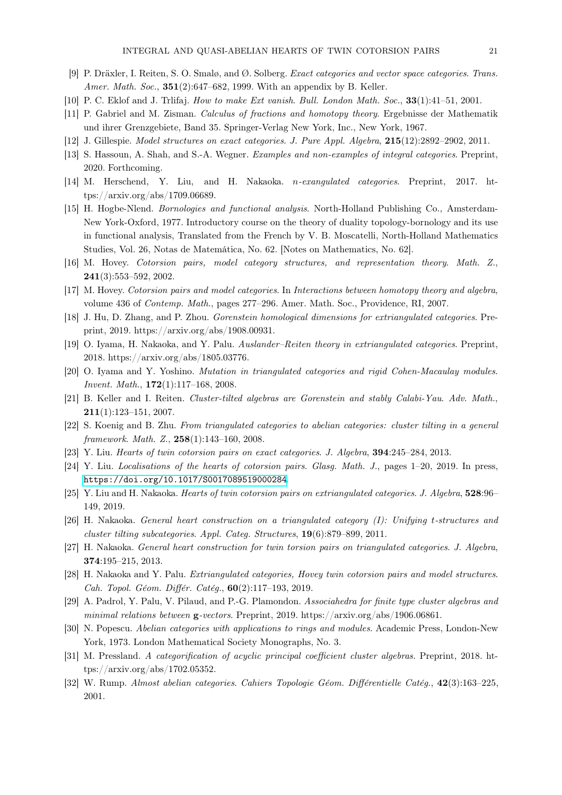- <span id="page-20-23"></span><span id="page-20-8"></span>[9] P. Dräxler, I. Reiten, S. O. Smalø, and Ø. Solberg. Exact categories and vector space categories. Trans. Amer. Math. Soc., **351**(2):647–682, 1999. With an appendix by B. Keller.
- <span id="page-20-19"></span>[10] P. C. Eklof and J. Trlifaj. How to make Ext vanish. Bull. London Math. Soc., 33(1):41–51, 2001.
- <span id="page-20-10"></span>[11] P. Gabriel and M. Zisman. Calculus of fractions and homotopy theory. Ergebnisse der Mathematik und ihrer Grenzgebiete, Band 35. Springer-Verlag New York, Inc., New York, 1967.
- <span id="page-20-22"></span>[12] J. Gillespie. Model structures on exact categories. J. Pure Appl. Algebra, 215(12):2892–2902, 2011.
- <span id="page-20-5"></span>[13] S. Hassoun, A. Shah, and S.-A. Wegner. Examples and non-examples of integral categories. Preprint, 2020. Forthcoming.
- <span id="page-20-21"></span>[14] M. Herschend, Y. Liu, and H. Nakaoka. n-exangulated categories. Preprint, 2017. https://arxiv.org/abs/1709.06689.
- [15] H. Hogbe-Nlend. Bornologies and functional analysis. North-Holland Publishing Co., Amsterdam-New York-Oxford, 1977. Introductory course on the theory of duality topology-bornology and its use in functional analysis, Translated from the French by V. B. Moscatelli, North-Holland Mathematics Studies, Vol. 26, Notas de Matemática, No. 62. [Notes on Mathematics, No. 62].
- <span id="page-20-16"></span><span id="page-20-9"></span>[16] M. Hovey. Cotorsion pairs, model category structures, and representation theory. Math. Z., 241(3):553–592, 2002.
- <span id="page-20-2"></span>[17] M. Hovey. Cotorsion pairs and model categories. In Interactions between homotopy theory and algebra, volume 436 of Contemp. Math., pages 277–296. Amer. Math. Soc., Providence, RI, 2007.
- <span id="page-20-1"></span>[18] J. Hu, D. Zhang, and P. Zhou. Gorenstein homological dimensions for extriangulated categories. Preprint, 2019. https://arxiv.org/abs/1908.00931.
- <span id="page-20-12"></span>[19] O. Iyama, H. Nakaoka, and Y. Palu. Auslander-Reiten theory in extriangulated categories. Preprint, 2018. https://arxiv.org/abs/1805.03776.
- <span id="page-20-14"></span>[20] O. Iyama and Y. Yoshino. Mutation in triangulated categories and rigid Cohen-Macaulay modules. *Invent. Math.*,  $172(1):117-168$ , 2008.
- <span id="page-20-13"></span>[21] B. Keller and I. Reiten. Cluster-tilted algebras are Gorenstein and stably Calabi-Yau. Adv. Math., 211(1):123–151, 2007.
- <span id="page-20-17"></span>[22] S. Koenig and B. Zhu. From triangulated categories to abelian categories: cluster tilting in a general framework. Math. Z., 258(1):143–160, 2008.
- <span id="page-20-3"></span>[23] Y. Liu. Hearts of twin cotorsion pairs on exact categories. J. Algebra, 394:245–284, 2013.
- <span id="page-20-4"></span>[24] Y. Liu. Localisations of the hearts of cotorsion pairs. Glasg. Math. J., pages 1–20, 2019. In press, <https://doi.org/10.1017/S0017089519000284>.
- <span id="page-20-11"></span>[25] Y. Liu and H. Nakaoka. Hearts of twin cotorsion pairs on extriangulated categories. J. Algebra, 528:96– 149, 2019.
- <span id="page-20-15"></span>[26] H. Nakaoka. General heart construction on a triangulated category (I): Unifying t-structures and cluster tilting subcategories. Appl. Categ. Structures, 19(6):879–899, 2011.
- <span id="page-20-0"></span>[27] H. Nakaoka. General heart construction for twin torsion pairs on triangulated categories. J. Algebra, 374:195–215, 2013.
- <span id="page-20-7"></span>[28] H. Nakaoka and Y. Palu. Extriangulated categories, Hovey twin cotorsion pairs and model structures. Cah. Topol. Géom. Différ. Catég., 60(2):117–193, 2019.
- <span id="page-20-20"></span>[29] A. Padrol, Y. Palu, V. Pilaud, and P.-G. Plamondon. Associahedra for finite type cluster algebras and minimal relations between  $g$ -vectors. Preprint, 2019. https://arxiv.org/abs/1906.06861.
- <span id="page-20-6"></span>[30] N. Popescu. Abelian categories with applications to rings and modules. Academic Press, London-New York, 1973. London Mathematical Society Monographs, No. 3.
- <span id="page-20-18"></span>[31] M. Pressland. A categorification of acyclic principal coefficient cluster algebras. Preprint, 2018. https://arxiv.org/abs/1702.05352.
- [32] W. Rump. Almost abelian categories. Cahiers Topologie Géom. Différentielle Catég., 42(3):163–225, 2001.